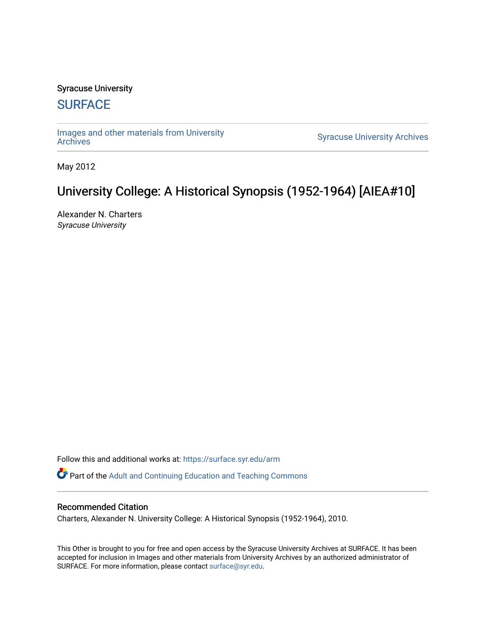## Syracuse University

# **[SURFACE](https://surface.syr.edu/)**

[Images and other materials from University](https://surface.syr.edu/arm) 

**Syracuse University [Archives](https://surface.syr.edu/arm)** 

May 2012

# University College: A Historical Synopsis (1952-1964) [AIEA#10]

Alexander N. Charters Syracuse University

Follow this and additional works at: [https://surface.syr.edu/arm](https://surface.syr.edu/arm?utm_source=surface.syr.edu%2Farm%2F16&utm_medium=PDF&utm_campaign=PDFCoverPages) 

**Part of the Adult and Continuing Education and Teaching Commons** 

## Recommended Citation

Charters, Alexander N. University College: A Historical Synopsis (1952-1964), 2010.

This Other is brought to you for free and open access by the Syracuse University Archives at SURFACE. It has been accepted for inclusion in Images and other materials from University Archives by an authorized administrator of SURFACE. For more information, please contact [surface@syr.edu.](mailto:surface@syr.edu)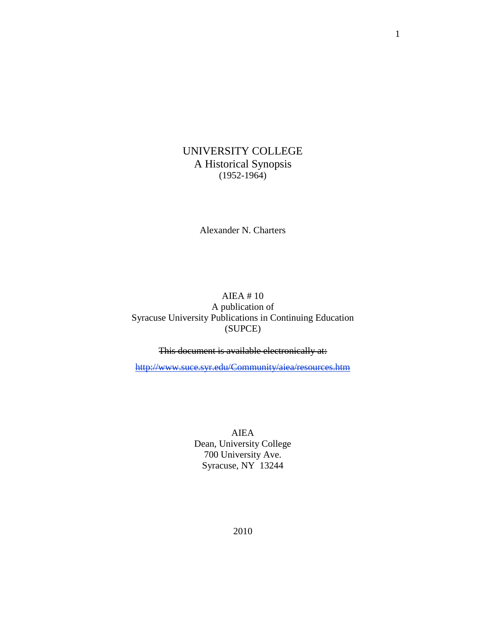UNIVERSITY COLLEGE A Historical Synopsis (1952-1964)

Alexander N. Charters

# AIEA # 10 A publication of Syracuse University Publications in Continuing Education (SUPCE)

This document is available electronically at:

<http://www.suce.syr.edu/Community/aiea/resources.htm>

AIEA Dean, University College 700 University Ave. Syracuse, NY 13244

1

2010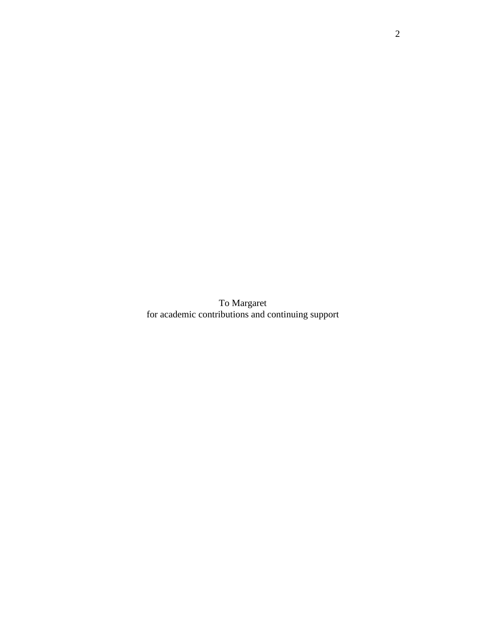To Margaret for academic contributions and continuing support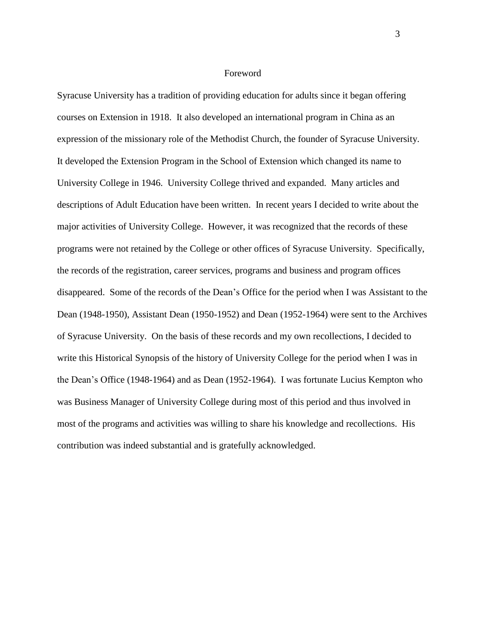#### Foreword

Syracuse University has a tradition of providing education for adults since it began offering courses on Extension in 1918. It also developed an international program in China as an expression of the missionary role of the Methodist Church, the founder of Syracuse University. It developed the Extension Program in the School of Extension which changed its name to University College in 1946. University College thrived and expanded. Many articles and descriptions of Adult Education have been written. In recent years I decided to write about the major activities of University College. However, it was recognized that the records of these programs were not retained by the College or other offices of Syracuse University. Specifically, the records of the registration, career services, programs and business and program offices disappeared. Some of the records of the Dean's Office for the period when I was Assistant to the Dean (1948-1950), Assistant Dean (1950-1952) and Dean (1952-1964) were sent to the Archives of Syracuse University. On the basis of these records and my own recollections, I decided to write this Historical Synopsis of the history of University College for the period when I was in the Dean's Office (1948-1964) and as Dean (1952-1964). I was fortunate Lucius Kempton who was Business Manager of University College during most of this period and thus involved in most of the programs and activities was willing to share his knowledge and recollections. His contribution was indeed substantial and is gratefully acknowledged.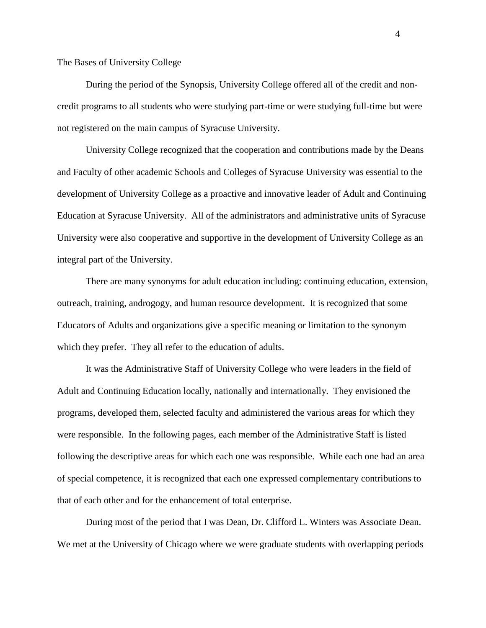The Bases of University College

During the period of the Synopsis, University College offered all of the credit and noncredit programs to all students who were studying part-time or were studying full-time but were not registered on the main campus of Syracuse University.

University College recognized that the cooperation and contributions made by the Deans and Faculty of other academic Schools and Colleges of Syracuse University was essential to the development of University College as a proactive and innovative leader of Adult and Continuing Education at Syracuse University. All of the administrators and administrative units of Syracuse University were also cooperative and supportive in the development of University College as an integral part of the University.

There are many synonyms for adult education including: continuing education, extension, outreach, training, androgogy, and human resource development. It is recognized that some Educators of Adults and organizations give a specific meaning or limitation to the synonym which they prefer. They all refer to the education of adults.

It was the Administrative Staff of University College who were leaders in the field of Adult and Continuing Education locally, nationally and internationally. They envisioned the programs, developed them, selected faculty and administered the various areas for which they were responsible. In the following pages, each member of the Administrative Staff is listed following the descriptive areas for which each one was responsible. While each one had an area of special competence, it is recognized that each one expressed complementary contributions to that of each other and for the enhancement of total enterprise.

During most of the period that I was Dean, Dr. Clifford L. Winters was Associate Dean. We met at the University of Chicago where we were graduate students with overlapping periods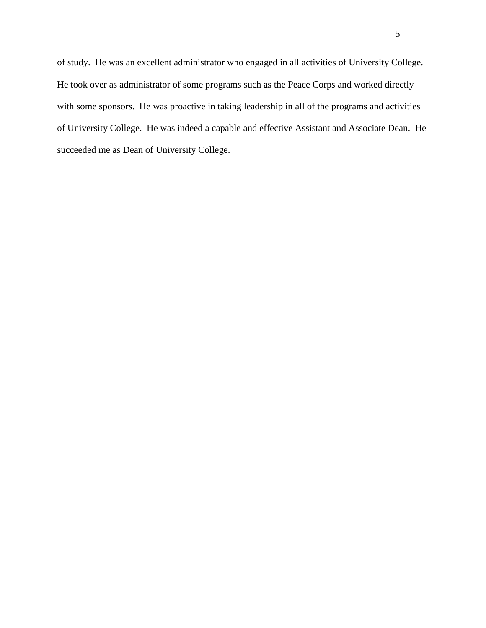of study. He was an excellent administrator who engaged in all activities of University College. He took over as administrator of some programs such as the Peace Corps and worked directly with some sponsors. He was proactive in taking leadership in all of the programs and activities of University College. He was indeed a capable and effective Assistant and Associate Dean. He succeeded me as Dean of University College.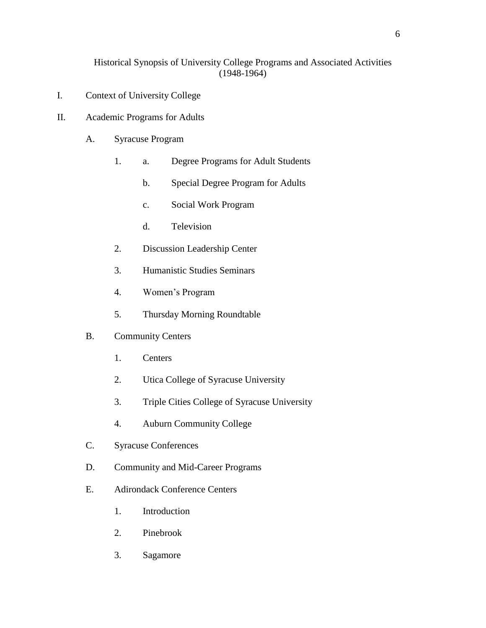# Historical Synopsis of University College Programs and Associated Activities (1948-1964)

- I. Context of University College
- II. Academic Programs for Adults
	- A. Syracuse Program
		- 1. a. Degree Programs for Adult Students
			- b. Special Degree Program for Adults
			- c. Social Work Program
			- d. Television
		- 2. Discussion Leadership Center
		- 3. Humanistic Studies Seminars
		- 4. Women's Program
		- 5. Thursday Morning Roundtable
	- B. Community Centers
		- 1. Centers
		- 2. Utica College of Syracuse University
		- 3. Triple Cities College of Syracuse University
		- 4. Auburn Community College
	- C. Syracuse Conferences
	- D. Community and Mid-Career Programs
	- E. Adirondack Conference Centers
		- 1. Introduction
		- 2. Pinebrook
		- 3. Sagamore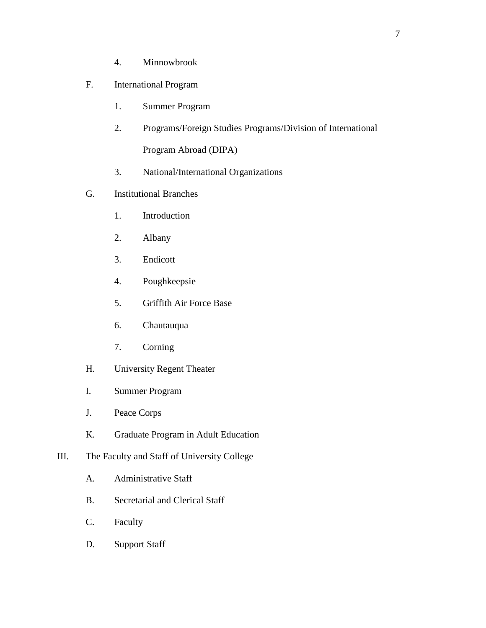4. Minnowbrook

# F. International Program

- 1. Summer Program
- 2. Programs/Foreign Studies Programs/Division of International Program Abroad (DIPA)
- 3. National/International Organizations
- G. Institutional Branches
	- 1. Introduction
	- 2. Albany
	- 3. Endicott
	- 4. Poughkeepsie
	- 5. Griffith Air Force Base
	- 6. Chautauqua
	- 7. Corning
- H. University Regent Theater
- I. Summer Program
- J. Peace Corps
- K. Graduate Program in Adult Education
- III. The Faculty and Staff of University College
	- A. Administrative Staff
	- B. Secretarial and Clerical Staff
	- C. Faculty
	- D. Support Staff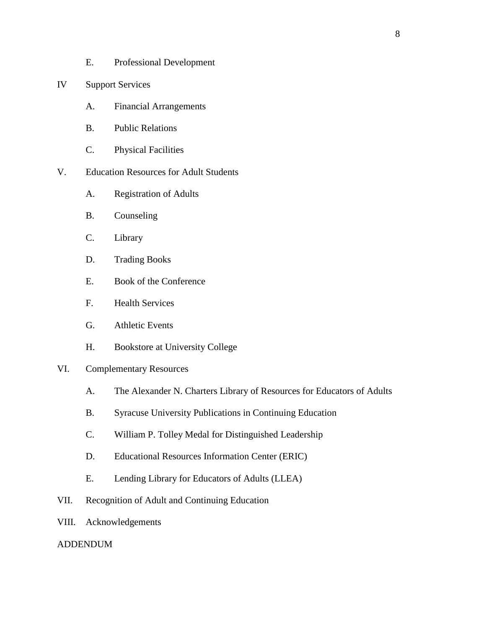- E. Professional Development
- IV Support Services
	- A. Financial Arrangements
	- B. Public Relations
	- C. Physical Facilities
- V. Education Resources for Adult Students
	- A. Registration of Adults
	- B. Counseling
	- C. Library
	- D. Trading Books
	- E. Book of the Conference
	- F. Health Services
	- G. Athletic Events
	- H. Bookstore at University College

# VI. Complementary Resources

- A. The Alexander N. Charters Library of Resources for Educators of Adults
- B. Syracuse University Publications in Continuing Education
- C. William P. Tolley Medal for Distinguished Leadership
- D. Educational Resources Information Center (ERIC)
- E. Lending Library for Educators of Adults (LLEA)
- VII. Recognition of Adult and Continuing Education
- VIII. Acknowledgements

#### ADDENDUM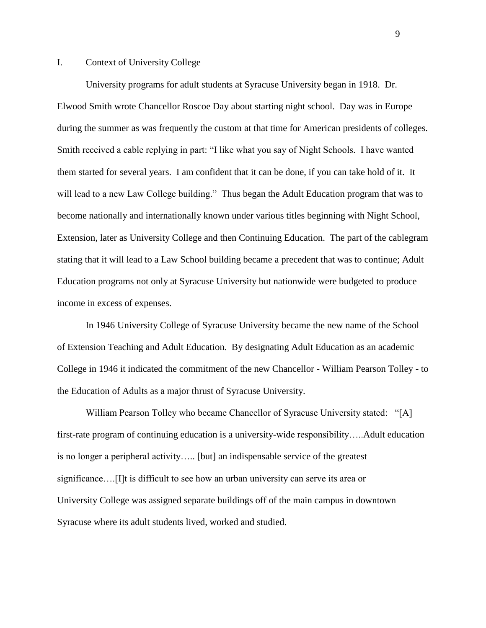## I. Context of University College

University programs for adult students at Syracuse University began in 1918. Dr. Elwood Smith wrote Chancellor Roscoe Day about starting night school. Day was in Europe during the summer as was frequently the custom at that time for American presidents of colleges. Smith received a cable replying in part: "I like what you say of Night Schools. I have wanted them started for several years. I am confident that it can be done, if you can take hold of it. It will lead to a new Law College building." Thus began the Adult Education program that was to become nationally and internationally known under various titles beginning with Night School, Extension, later as University College and then Continuing Education. The part of the cablegram stating that it will lead to a Law School building became a precedent that was to continue; Adult Education programs not only at Syracuse University but nationwide were budgeted to produce income in excess of expenses.

In 1946 University College of Syracuse University became the new name of the School of Extension Teaching and Adult Education. By designating Adult Education as an academic College in 1946 it indicated the commitment of the new Chancellor - William Pearson Tolley - to the Education of Adults as a major thrust of Syracuse University.

William Pearson Tolley who became Chancellor of Syracuse University stated: "[A] first-rate program of continuing education is a university-wide responsibility…..Adult education is no longer a peripheral activity….. [but] an indispensable service of the greatest significance….[I]t is difficult to see how an urban university can serve its area or University College was assigned separate buildings off of the main campus in downtown Syracuse where its adult students lived, worked and studied.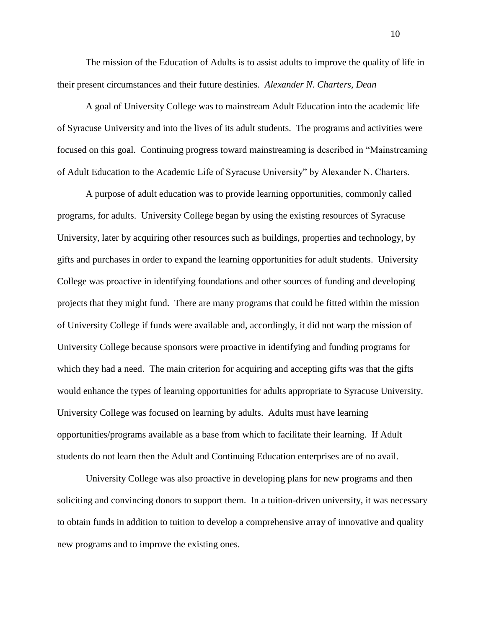The mission of the Education of Adults is to assist adults to improve the quality of life in their present circumstances and their future destinies. *Alexander N. Charters, Dean*

A goal of University College was to mainstream Adult Education into the academic life of Syracuse University and into the lives of its adult students. The programs and activities were focused on this goal. Continuing progress toward mainstreaming is described in "Mainstreaming of Adult Education to the Academic Life of Syracuse University" by Alexander N. Charters.

A purpose of adult education was to provide learning opportunities, commonly called programs, for adults. University College began by using the existing resources of Syracuse University, later by acquiring other resources such as buildings, properties and technology, by gifts and purchases in order to expand the learning opportunities for adult students. University College was proactive in identifying foundations and other sources of funding and developing projects that they might fund. There are many programs that could be fitted within the mission of University College if funds were available and, accordingly, it did not warp the mission of University College because sponsors were proactive in identifying and funding programs for which they had a need. The main criterion for acquiring and accepting gifts was that the gifts would enhance the types of learning opportunities for adults appropriate to Syracuse University. University College was focused on learning by adults. Adults must have learning opportunities/programs available as a base from which to facilitate their learning. If Adult students do not learn then the Adult and Continuing Education enterprises are of no avail.

University College was also proactive in developing plans for new programs and then soliciting and convincing donors to support them. In a tuition-driven university, it was necessary to obtain funds in addition to tuition to develop a comprehensive array of innovative and quality new programs and to improve the existing ones.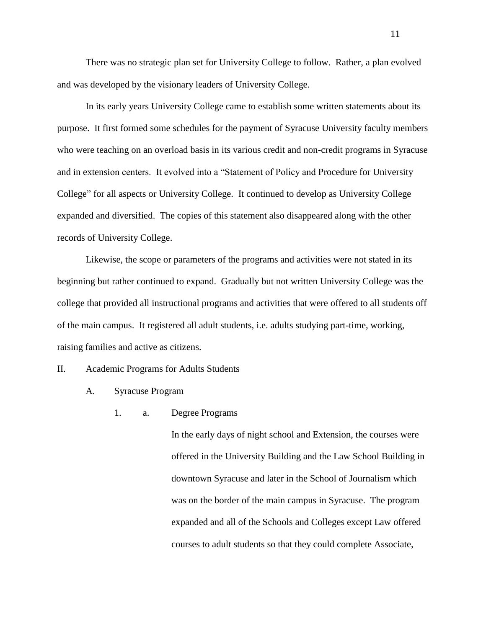There was no strategic plan set for University College to follow. Rather, a plan evolved and was developed by the visionary leaders of University College.

In its early years University College came to establish some written statements about its purpose. It first formed some schedules for the payment of Syracuse University faculty members who were teaching on an overload basis in its various credit and non-credit programs in Syracuse and in extension centers. It evolved into a "Statement of Policy and Procedure for University College" for all aspects or University College. It continued to develop as University College expanded and diversified. The copies of this statement also disappeared along with the other records of University College.

Likewise, the scope or parameters of the programs and activities were not stated in its beginning but rather continued to expand. Gradually but not written University College was the college that provided all instructional programs and activities that were offered to all students off of the main campus. It registered all adult students, i.e. adults studying part-time, working, raising families and active as citizens.

#### II. Academic Programs for Adults Students

- A. Syracuse Program
	- 1. a. Degree Programs

In the early days of night school and Extension, the courses were offered in the University Building and the Law School Building in downtown Syracuse and later in the School of Journalism which was on the border of the main campus in Syracuse. The program expanded and all of the Schools and Colleges except Law offered courses to adult students so that they could complete Associate,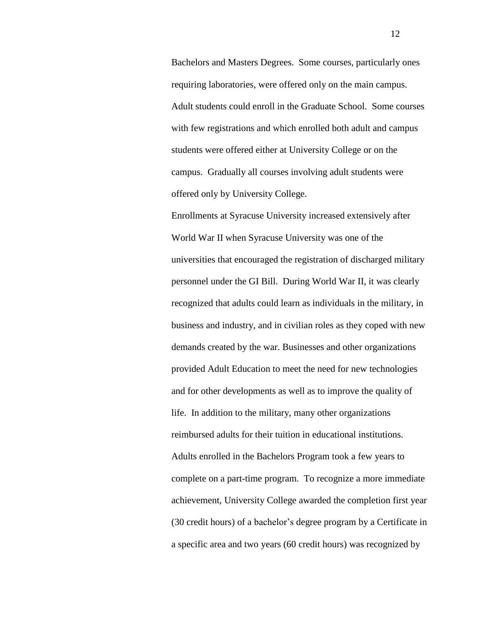Bachelors and Masters Degrees. Some courses, particularly ones requiring laboratories, were offered only on the main campus. Adult students could enroll in the Graduate School. Some courses with few registrations and which enrolled both adult and campus students were offered either at University College or on the campus. Gradually all courses involving adult students were offered only by University College.

Enrollments at Syracuse University increased extensively after World War II when Syracuse University was one of the universities that encouraged the registration of discharged military personnel under the GI Bill. During World War II, it was clearly recognized that adults could learn as individuals in the military, in business and industry, and in civilian roles as they coped with new demands created by the war. Businesses and other organizations provided Adult Education to meet the need for new technologies and for other developments as well as to improve the quality of life. In addition to the military, many other organizations reimbursed adults for their tuition in educational institutions. Adults enrolled in the Bachelors Program took a few years to complete on a part-time program. To recognize a more immediate achievement, University College awarded the completion first year (30 credit hours) of a bachelor's degree program by a Certificate in a specific area and two years (60 credit hours) was recognized by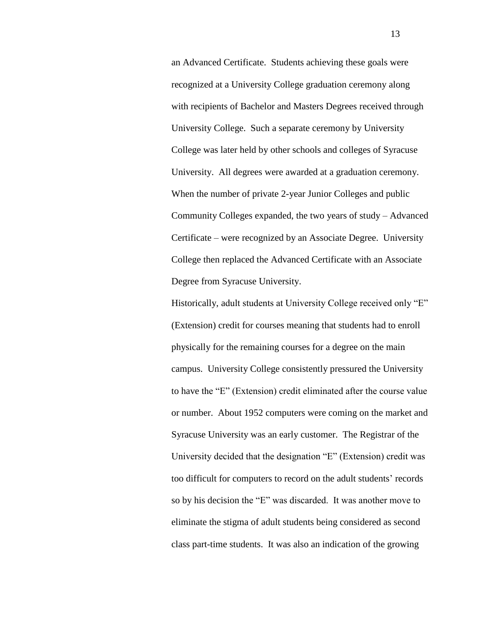an Advanced Certificate. Students achieving these goals were recognized at a University College graduation ceremony along with recipients of Bachelor and Masters Degrees received through University College. Such a separate ceremony by University College was later held by other schools and colleges of Syracuse University. All degrees were awarded at a graduation ceremony. When the number of private 2-year Junior Colleges and public Community Colleges expanded, the two years of study – Advanced Certificate – were recognized by an Associate Degree. University College then replaced the Advanced Certificate with an Associate Degree from Syracuse University.

Historically, adult students at University College received only "E" (Extension) credit for courses meaning that students had to enroll physically for the remaining courses for a degree on the main campus. University College consistently pressured the University to have the "E" (Extension) credit eliminated after the course value or number. About 1952 computers were coming on the market and Syracuse University was an early customer. The Registrar of the University decided that the designation "E" (Extension) credit was too difficult for computers to record on the adult students' records so by his decision the "E" was discarded. It was another move to eliminate the stigma of adult students being considered as second class part-time students. It was also an indication of the growing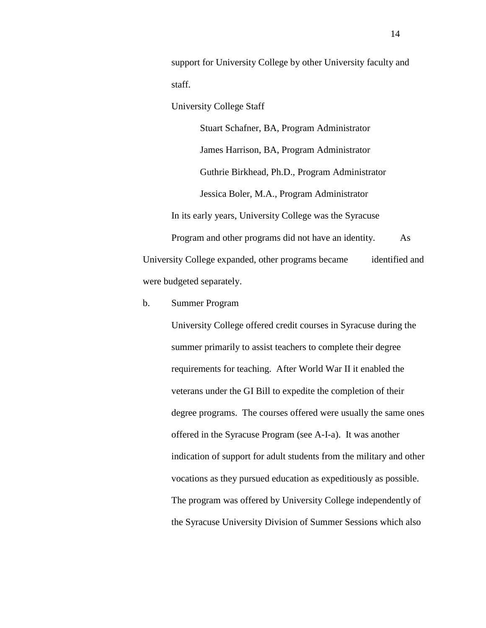support for University College by other University faculty and staff.

University College Staff

Stuart Schafner, BA, Program Administrator James Harrison, BA, Program Administrator Guthrie Birkhead, Ph.D., Program Administrator Jessica Boler, M.A., Program Administrator In its early years, University College was the Syracuse

Program and other programs did not have an identity. As University College expanded, other programs became identified and were budgeted separately.

b. Summer Program

University College offered credit courses in Syracuse during the summer primarily to assist teachers to complete their degree requirements for teaching. After World War II it enabled the veterans under the GI Bill to expedite the completion of their degree programs. The courses offered were usually the same ones offered in the Syracuse Program (see A-I-a). It was another indication of support for adult students from the military and other vocations as they pursued education as expeditiously as possible. The program was offered by University College independently of the Syracuse University Division of Summer Sessions which also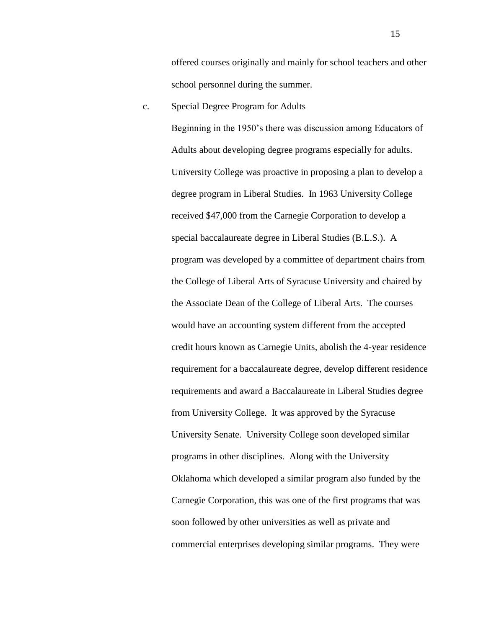offered courses originally and mainly for school teachers and other school personnel during the summer.

c. Special Degree Program for Adults

Beginning in the 1950's there was discussion among Educators of Adults about developing degree programs especially for adults. University College was proactive in proposing a plan to develop a degree program in Liberal Studies. In 1963 University College received \$47,000 from the Carnegie Corporation to develop a special baccalaureate degree in Liberal Studies (B.L.S.). A program was developed by a committee of department chairs from the College of Liberal Arts of Syracuse University and chaired by the Associate Dean of the College of Liberal Arts. The courses would have an accounting system different from the accepted credit hours known as Carnegie Units, abolish the 4-year residence requirement for a baccalaureate degree, develop different residence requirements and award a Baccalaureate in Liberal Studies degree from University College. It was approved by the Syracuse University Senate. University College soon developed similar programs in other disciplines. Along with the University Oklahoma which developed a similar program also funded by the Carnegie Corporation, this was one of the first programs that was soon followed by other universities as well as private and commercial enterprises developing similar programs. They were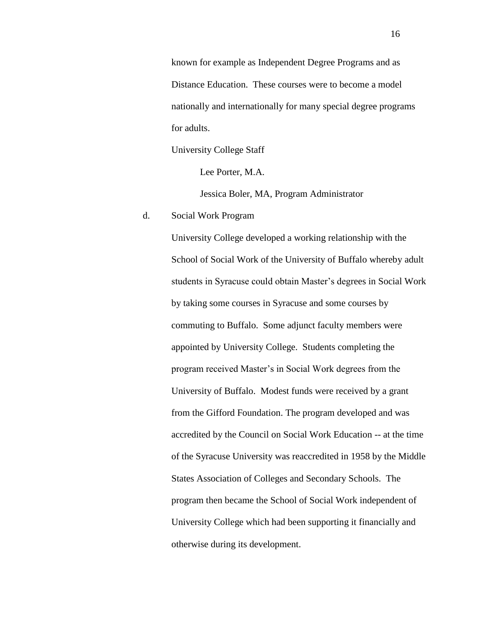known for example as Independent Degree Programs and as Distance Education. These courses were to become a model nationally and internationally for many special degree programs for adults.

University College Staff

Lee Porter, M.A.

Jessica Boler, MA, Program Administrator

## d. Social Work Program

University College developed a working relationship with the School of Social Work of the University of Buffalo whereby adult students in Syracuse could obtain Master's degrees in Social Work by taking some courses in Syracuse and some courses by commuting to Buffalo. Some adjunct faculty members were appointed by University College. Students completing the program received Master's in Social Work degrees from the University of Buffalo. Modest funds were received by a grant from the Gifford Foundation. The program developed and was accredited by the Council on Social Work Education -- at the time of the Syracuse University was reaccredited in 1958 by the Middle States Association of Colleges and Secondary Schools. The program then became the School of Social Work independent of University College which had been supporting it financially and otherwise during its development.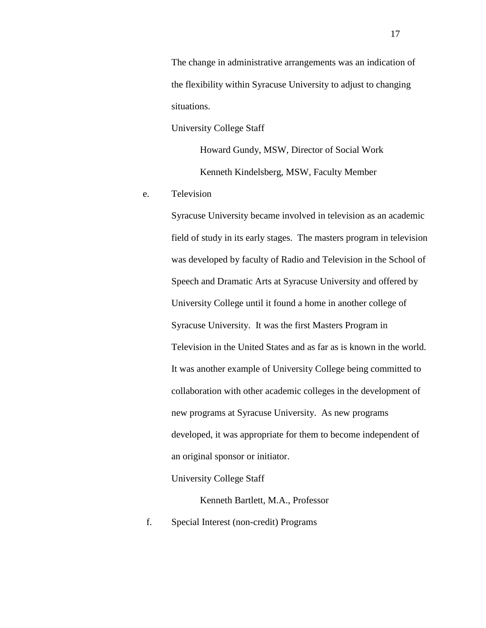The change in administrative arrangements was an indication of the flexibility within Syracuse University to adjust to changing situations.

University College Staff

Howard Gundy, MSW, Director of Social Work Kenneth Kindelsberg, MSW, Faculty Member

e. Television

Syracuse University became involved in television as an academic field of study in its early stages. The masters program in television was developed by faculty of Radio and Television in the School of Speech and Dramatic Arts at Syracuse University and offered by University College until it found a home in another college of Syracuse University. It was the first Masters Program in Television in the United States and as far as is known in the world. It was another example of University College being committed to collaboration with other academic colleges in the development of new programs at Syracuse University. As new programs developed, it was appropriate for them to become independent of an original sponsor or initiator.

University College Staff

Kenneth Bartlett, M.A., Professor

f. Special Interest (non-credit) Programs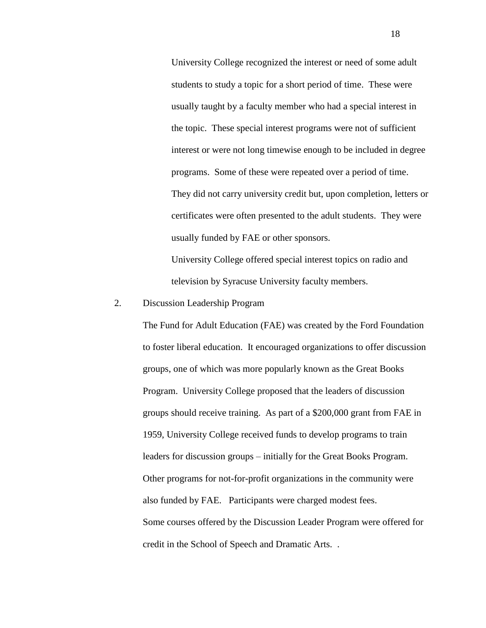University College recognized the interest or need of some adult students to study a topic for a short period of time. These were usually taught by a faculty member who had a special interest in the topic. These special interest programs were not of sufficient interest or were not long timewise enough to be included in degree programs. Some of these were repeated over a period of time. They did not carry university credit but, upon completion, letters or certificates were often presented to the adult students. They were usually funded by FAE or other sponsors.

University College offered special interest topics on radio and television by Syracuse University faculty members.

## 2. Discussion Leadership Program

The Fund for Adult Education (FAE) was created by the Ford Foundation to foster liberal education. It encouraged organizations to offer discussion groups, one of which was more popularly known as the Great Books Program. University College proposed that the leaders of discussion groups should receive training. As part of a \$200,000 grant from FAE in 1959, University College received funds to develop programs to train leaders for discussion groups – initially for the Great Books Program. Other programs for not-for-profit organizations in the community were also funded by FAE. Participants were charged modest fees. Some courses offered by the Discussion Leader Program were offered for credit in the School of Speech and Dramatic Arts. .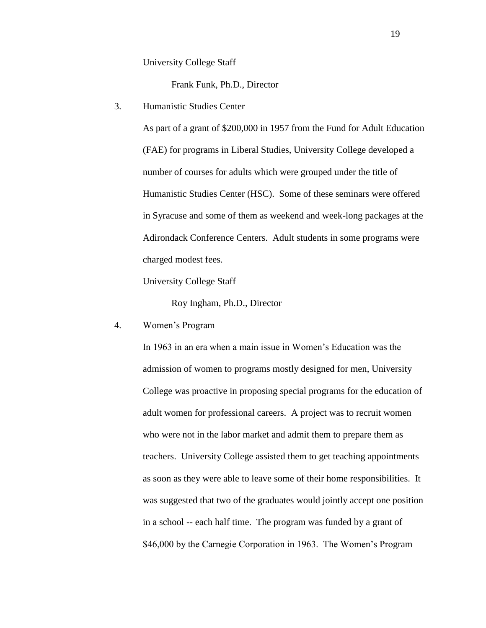University College Staff

Frank Funk, Ph.D., Director

3. Humanistic Studies Center

As part of a grant of \$200,000 in 1957 from the Fund for Adult Education (FAE) for programs in Liberal Studies, University College developed a number of courses for adults which were grouped under the title of Humanistic Studies Center (HSC). Some of these seminars were offered in Syracuse and some of them as weekend and week-long packages at the Adirondack Conference Centers. Adult students in some programs were charged modest fees.

University College Staff

Roy Ingham, Ph.D., Director

4. Women's Program

In 1963 in an era when a main issue in Women's Education was the admission of women to programs mostly designed for men, University College was proactive in proposing special programs for the education of adult women for professional careers. A project was to recruit women who were not in the labor market and admit them to prepare them as teachers. University College assisted them to get teaching appointments as soon as they were able to leave some of their home responsibilities. It was suggested that two of the graduates would jointly accept one position in a school -- each half time. The program was funded by a grant of \$46,000 by the Carnegie Corporation in 1963. The Women's Program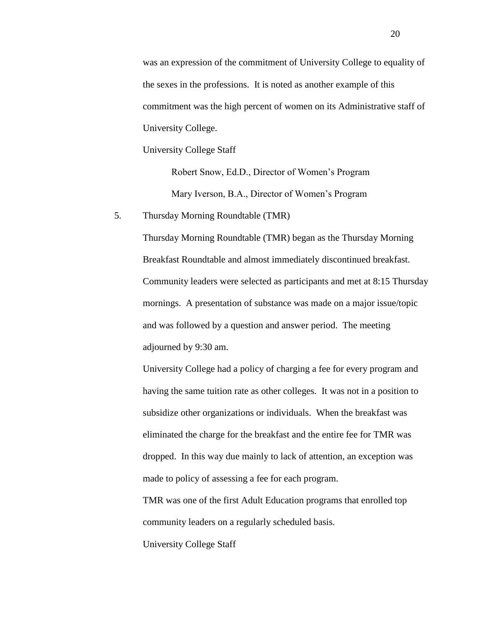was an expression of the commitment of University College to equality of the sexes in the professions. It is noted as another example of this commitment was the high percent of women on its Administrative staff of University College.

University College Staff

Robert Snow, Ed.D., Director of Women's Program Mary Iverson, B.A., Director of Women's Program

5. Thursday Morning Roundtable (TMR)

Thursday Morning Roundtable (TMR) began as the Thursday Morning Breakfast Roundtable and almost immediately discontinued breakfast. Community leaders were selected as participants and met at 8:15 Thursday mornings. A presentation of substance was made on a major issue/topic and was followed by a question and answer period. The meeting adjourned by 9:30 am.

University College had a policy of charging a fee for every program and having the same tuition rate as other colleges. It was not in a position to subsidize other organizations or individuals. When the breakfast was eliminated the charge for the breakfast and the entire fee for TMR was dropped. In this way due mainly to lack of attention, an exception was made to policy of assessing a fee for each program.

TMR was one of the first Adult Education programs that enrolled top community leaders on a regularly scheduled basis.

University College Staff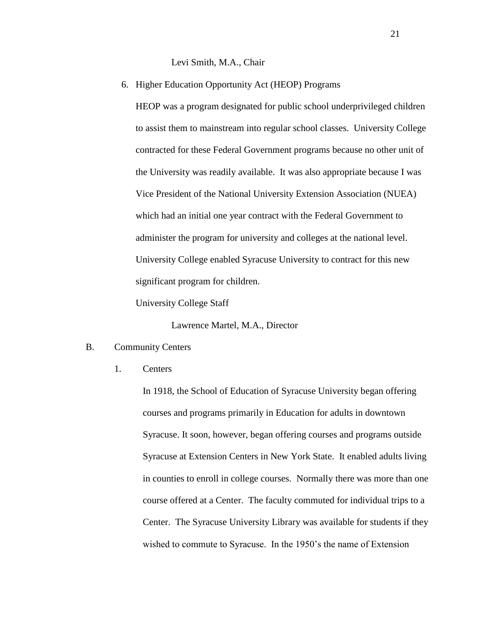Levi Smith, M.A., Chair

6. Higher Education Opportunity Act (HEOP) Programs

HEOP was a program designated for public school underprivileged children to assist them to mainstream into regular school classes. University College contracted for these Federal Government programs because no other unit of the University was readily available. It was also appropriate because I was Vice President of the National University Extension Association (NUEA) which had an initial one year contract with the Federal Government to administer the program for university and colleges at the national level. University College enabled Syracuse University to contract for this new significant program for children.

University College Staff

Lawrence Martel, M.A., Director

## B. Community Centers

1. Centers

In 1918, the School of Education of Syracuse University began offering courses and programs primarily in Education for adults in downtown Syracuse. It soon, however, began offering courses and programs outside Syracuse at Extension Centers in New York State. It enabled adults living in counties to enroll in college courses. Normally there was more than one course offered at a Center. The faculty commuted for individual trips to a Center. The Syracuse University Library was available for students if they wished to commute to Syracuse. In the 1950's the name of Extension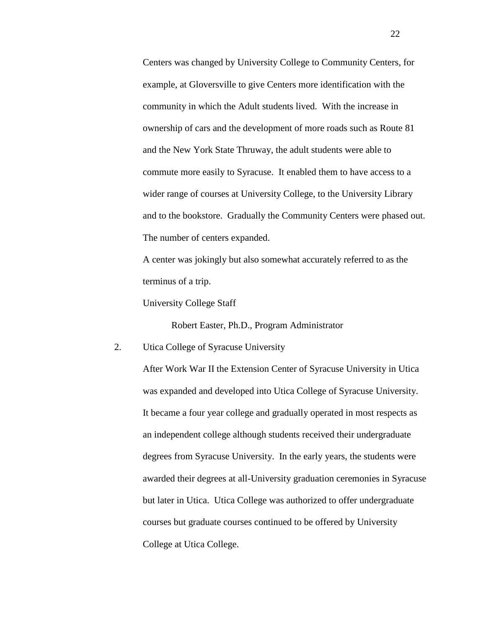Centers was changed by University College to Community Centers, for example, at Gloversville to give Centers more identification with the community in which the Adult students lived. With the increase in ownership of cars and the development of more roads such as Route 81 and the New York State Thruway, the adult students were able to commute more easily to Syracuse. It enabled them to have access to a wider range of courses at University College, to the University Library and to the bookstore. Gradually the Community Centers were phased out. The number of centers expanded.

A center was jokingly but also somewhat accurately referred to as the terminus of a trip.

University College Staff

Robert Easter, Ph.D., Program Administrator

# 2. Utica College of Syracuse University

After Work War II the Extension Center of Syracuse University in Utica was expanded and developed into Utica College of Syracuse University. It became a four year college and gradually operated in most respects as an independent college although students received their undergraduate degrees from Syracuse University. In the early years, the students were awarded their degrees at all-University graduation ceremonies in Syracuse but later in Utica. Utica College was authorized to offer undergraduate courses but graduate courses continued to be offered by University College at Utica College.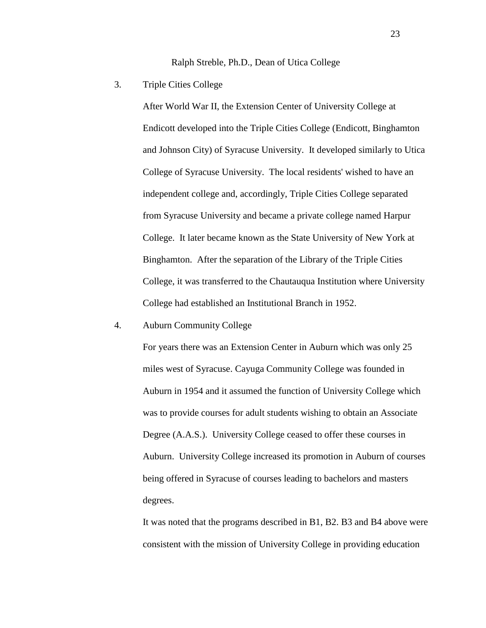Ralph Streble, Ph.D., Dean of Utica College

3. Triple Cities College

After World War II, the Extension Center of University College at Endicott developed into the Triple Cities College (Endicott, Binghamton and Johnson City) of Syracuse University. It developed similarly to Utica College of Syracuse University. The local residents' wished to have an independent college and, accordingly, Triple Cities College separated from Syracuse University and became a private college named Harpur College. It later became known as the State University of New York at Binghamton. After the separation of the Library of the Triple Cities College, it was transferred to the Chautauqua Institution where University College had established an Institutional Branch in 1952.

#### 4. Auburn Community College

For years there was an Extension Center in Auburn which was only 25 miles west of Syracuse. Cayuga Community College was founded in Auburn in 1954 and it assumed the function of University College which was to provide courses for adult students wishing to obtain an Associate Degree (A.A.S.). University College ceased to offer these courses in Auburn. University College increased its promotion in Auburn of courses being offered in Syracuse of courses leading to bachelors and masters degrees.

It was noted that the programs described in B1, B2. B3 and B4 above were consistent with the mission of University College in providing education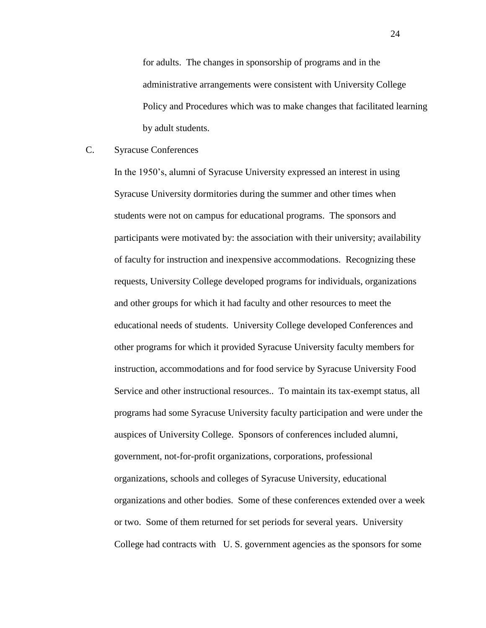for adults. The changes in sponsorship of programs and in the administrative arrangements were consistent with University College Policy and Procedures which was to make changes that facilitated learning by adult students.

## C. Syracuse Conferences

In the 1950's, alumni of Syracuse University expressed an interest in using Syracuse University dormitories during the summer and other times when students were not on campus for educational programs. The sponsors and participants were motivated by: the association with their university; availability of faculty for instruction and inexpensive accommodations. Recognizing these requests, University College developed programs for individuals, organizations and other groups for which it had faculty and other resources to meet the educational needs of students. University College developed Conferences and other programs for which it provided Syracuse University faculty members for instruction, accommodations and for food service by Syracuse University Food Service and other instructional resources.. To maintain its tax-exempt status, all programs had some Syracuse University faculty participation and were under the auspices of University College. Sponsors of conferences included alumni, government, not-for-profit organizations, corporations, professional organizations, schools and colleges of Syracuse University, educational organizations and other bodies. Some of these conferences extended over a week or two. Some of them returned for set periods for several years. University College had contracts with U. S. government agencies as the sponsors for some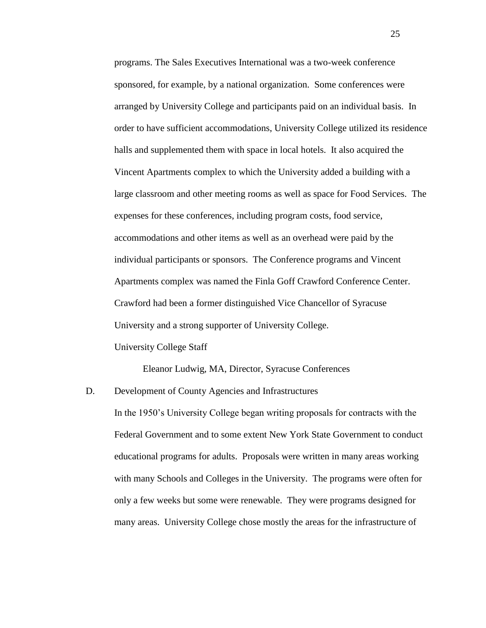programs. The Sales Executives International was a two-week conference sponsored, for example, by a national organization. Some conferences were arranged by University College and participants paid on an individual basis. In order to have sufficient accommodations, University College utilized its residence halls and supplemented them with space in local hotels. It also acquired the Vincent Apartments complex to which the University added a building with a large classroom and other meeting rooms as well as space for Food Services. The expenses for these conferences, including program costs, food service, accommodations and other items as well as an overhead were paid by the individual participants or sponsors. The Conference programs and Vincent Apartments complex was named the Finla Goff Crawford Conference Center. Crawford had been a former distinguished Vice Chancellor of Syracuse University and a strong supporter of University College. University College Staff

Eleanor Ludwig, MA, Director, Syracuse Conferences

D. Development of County Agencies and Infrastructures In the 1950's University College began writing proposals for contracts with the Federal Government and to some extent New York State Government to conduct educational programs for adults. Proposals were written in many areas working with many Schools and Colleges in the University. The programs were often for only a few weeks but some were renewable. They were programs designed for many areas. University College chose mostly the areas for the infrastructure of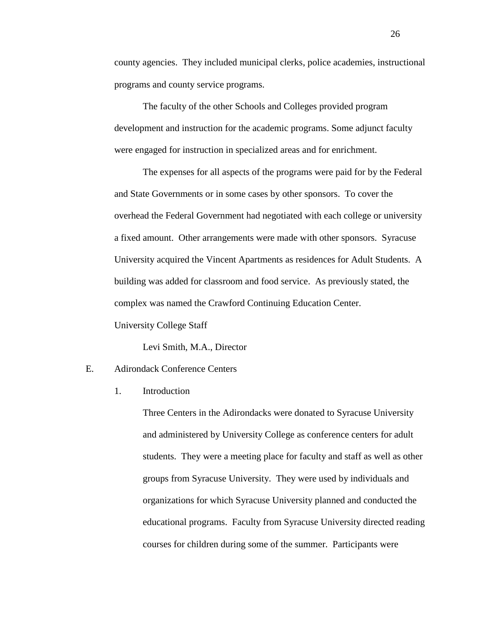county agencies. They included municipal clerks, police academies, instructional programs and county service programs.

The faculty of the other Schools and Colleges provided program development and instruction for the academic programs. Some adjunct faculty were engaged for instruction in specialized areas and for enrichment.

The expenses for all aspects of the programs were paid for by the Federal and State Governments or in some cases by other sponsors. To cover the overhead the Federal Government had negotiated with each college or university a fixed amount. Other arrangements were made with other sponsors. Syracuse University acquired the Vincent Apartments as residences for Adult Students. A building was added for classroom and food service. As previously stated, the complex was named the Crawford Continuing Education Center.

University College Staff

Levi Smith, M.A., Director

#### E. Adirondack Conference Centers

1. Introduction

Three Centers in the Adirondacks were donated to Syracuse University and administered by University College as conference centers for adult students. They were a meeting place for faculty and staff as well as other groups from Syracuse University. They were used by individuals and organizations for which Syracuse University planned and conducted the educational programs. Faculty from Syracuse University directed reading courses for children during some of the summer. Participants were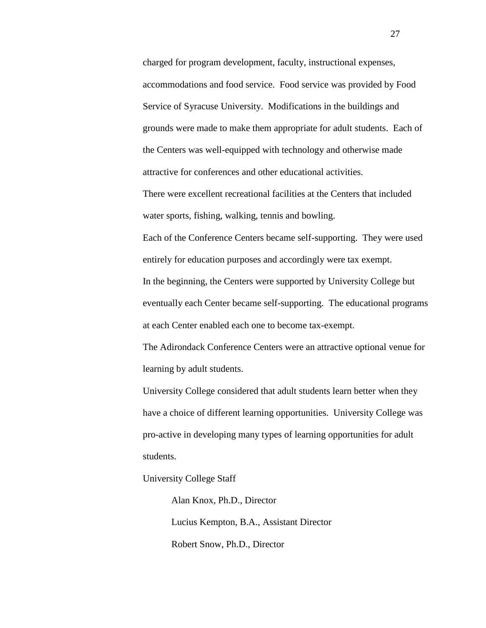charged for program development, faculty, instructional expenses, accommodations and food service. Food service was provided by Food Service of Syracuse University. Modifications in the buildings and grounds were made to make them appropriate for adult students. Each of the Centers was well-equipped with technology and otherwise made attractive for conferences and other educational activities.

There were excellent recreational facilities at the Centers that included water sports, fishing, walking, tennis and bowling.

Each of the Conference Centers became self-supporting. They were used entirely for education purposes and accordingly were tax exempt. In the beginning, the Centers were supported by University College but eventually each Center became self-supporting. The educational programs at each Center enabled each one to become tax-exempt.

The Adirondack Conference Centers were an attractive optional venue for learning by adult students.

University College considered that adult students learn better when they have a choice of different learning opportunities. University College was pro-active in developing many types of learning opportunities for adult students.

University College Staff

Alan Knox, Ph.D., Director Lucius Kempton, B.A., Assistant Director Robert Snow, Ph.D., Director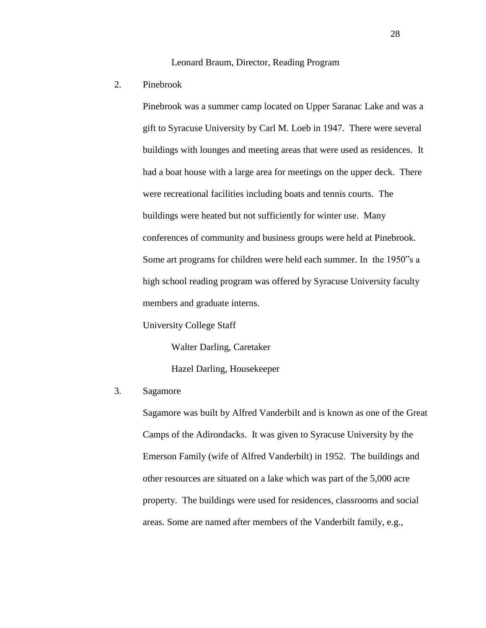Leonard Braum, Director, Reading Program

2. Pinebrook

Pinebrook was a summer camp located on Upper Saranac Lake and was a gift to Syracuse University by Carl M. Loeb in 1947. There were several buildings with lounges and meeting areas that were used as residences. It had a boat house with a large area for meetings on the upper deck. There were recreational facilities including boats and tennis courts. The buildings were heated but not sufficiently for winter use. Many conferences of community and business groups were held at Pinebrook. Some art programs for children were held each summer. In the 1950"s a high school reading program was offered by Syracuse University faculty members and graduate interns.

University College Staff

Walter Darling, Caretaker

Hazel Darling, Housekeeper

## 3. Sagamore

Sagamore was built by Alfred Vanderbilt and is known as one of the Great Camps of the Adirondacks. It was given to Syracuse University by the Emerson Family (wife of Alfred Vanderbilt) in 1952. The buildings and other resources are situated on a lake which was part of the 5,000 acre property. The buildings were used for residences, classrooms and social areas. Some are named after members of the Vanderbilt family, e.g.,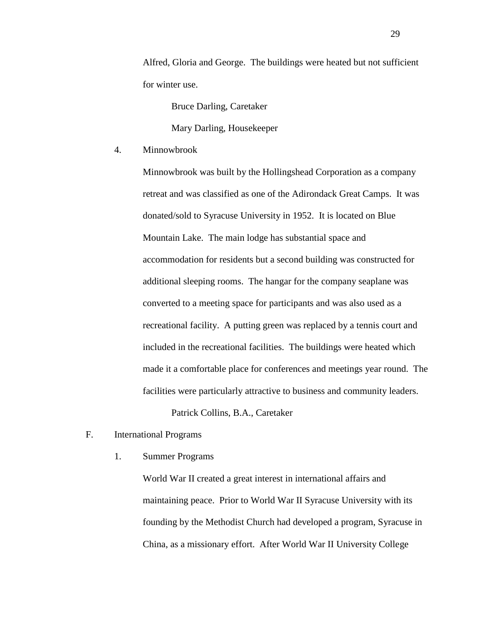Alfred, Gloria and George. The buildings were heated but not sufficient for winter use.

Bruce Darling, Caretaker

Mary Darling, Housekeeper

4. Minnowbrook

Minnowbrook was built by the Hollingshead Corporation as a company retreat and was classified as one of the Adirondack Great Camps. It was donated/sold to Syracuse University in 1952. It is located on Blue Mountain Lake. The main lodge has substantial space and accommodation for residents but a second building was constructed for additional sleeping rooms. The hangar for the company seaplane was converted to a meeting space for participants and was also used as a recreational facility. A putting green was replaced by a tennis court and included in the recreational facilities. The buildings were heated which made it a comfortable place for conferences and meetings year round. The facilities were particularly attractive to business and community leaders.

Patrick Collins, B.A., Caretaker

- F. International Programs
	- 1. Summer Programs

World War II created a great interest in international affairs and maintaining peace. Prior to World War II Syracuse University with its founding by the Methodist Church had developed a program, Syracuse in China, as a missionary effort. After World War II University College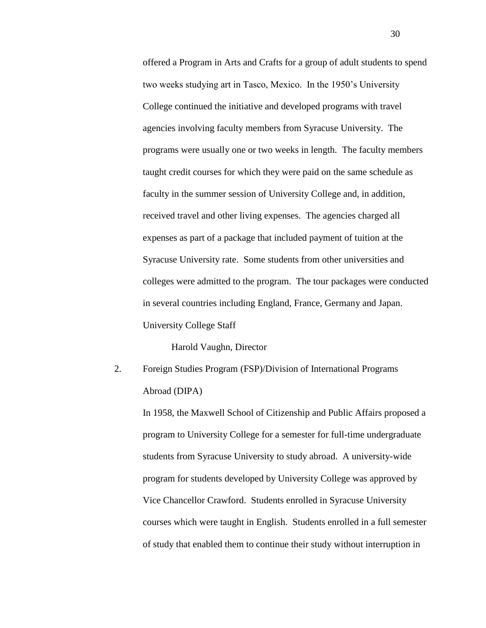offered a Program in Arts and Crafts for a group of adult students to spend two weeks studying art in Tasco, Mexico. In the 1950's University College continued the initiative and developed programs with travel agencies involving faculty members from Syracuse University. The programs were usually one or two weeks in length. The faculty members taught credit courses for which they were paid on the same schedule as faculty in the summer session of University College and, in addition, received travel and other living expenses. The agencies charged all expenses as part of a package that included payment of tuition at the Syracuse University rate. Some students from other universities and colleges were admitted to the program. The tour packages were conducted in several countries including England, France, Germany and Japan. University College Staff

Harold Vaughn, Director

2. Foreign Studies Program (FSP)/Division of International Programs Abroad (DIPA)

In 1958, the Maxwell School of Citizenship and Public Affairs proposed a program to University College for a semester for full-time undergraduate students from Syracuse University to study abroad. A university-wide program for students developed by University College was approved by Vice Chancellor Crawford. Students enrolled in Syracuse University courses which were taught in English. Students enrolled in a full semester of study that enabled them to continue their study without interruption in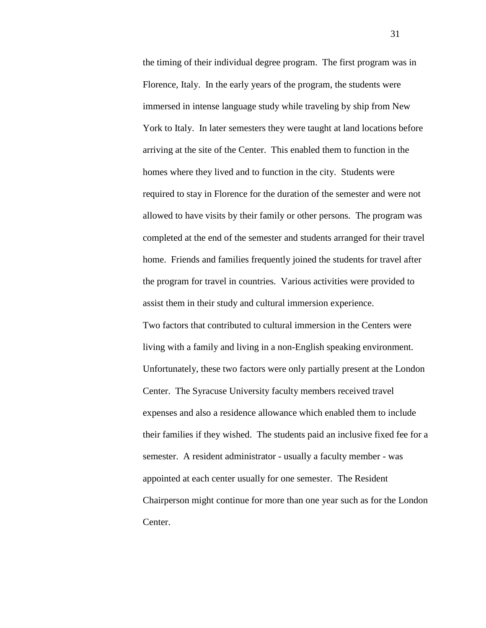the timing of their individual degree program. The first program was in Florence, Italy. In the early years of the program, the students were immersed in intense language study while traveling by ship from New York to Italy. In later semesters they were taught at land locations before arriving at the site of the Center. This enabled them to function in the homes where they lived and to function in the city. Students were required to stay in Florence for the duration of the semester and were not allowed to have visits by their family or other persons. The program was completed at the end of the semester and students arranged for their travel home. Friends and families frequently joined the students for travel after the program for travel in countries. Various activities were provided to assist them in their study and cultural immersion experience.

Two factors that contributed to cultural immersion in the Centers were living with a family and living in a non-English speaking environment. Unfortunately, these two factors were only partially present at the London Center. The Syracuse University faculty members received travel expenses and also a residence allowance which enabled them to include their families if they wished. The students paid an inclusive fixed fee for a semester. A resident administrator - usually a faculty member - was appointed at each center usually for one semester. The Resident Chairperson might continue for more than one year such as for the London Center.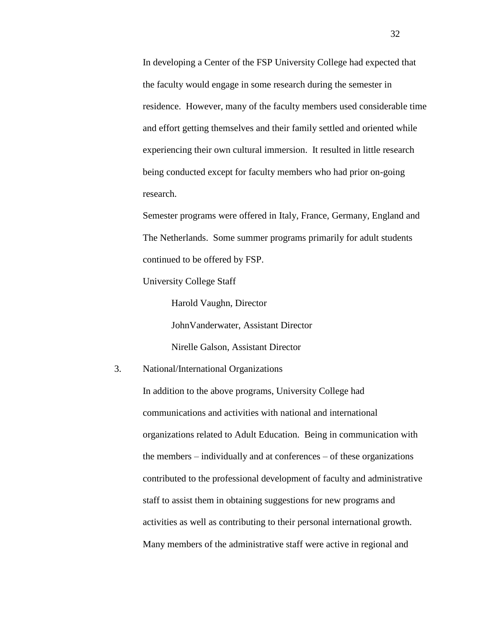In developing a Center of the FSP University College had expected that the faculty would engage in some research during the semester in residence. However, many of the faculty members used considerable time and effort getting themselves and their family settled and oriented while experiencing their own cultural immersion. It resulted in little research being conducted except for faculty members who had prior on-going research.

Semester programs were offered in Italy, France, Germany, England and The Netherlands. Some summer programs primarily for adult students continued to be offered by FSP.

University College Staff

Harold Vaughn, Director JohnVanderwater, Assistant Director Nirelle Galson, Assistant Director

## 3. National/International Organizations

In addition to the above programs, University College had communications and activities with national and international organizations related to Adult Education. Being in communication with the members – individually and at conferences – of these organizations contributed to the professional development of faculty and administrative staff to assist them in obtaining suggestions for new programs and activities as well as contributing to their personal international growth. Many members of the administrative staff were active in regional and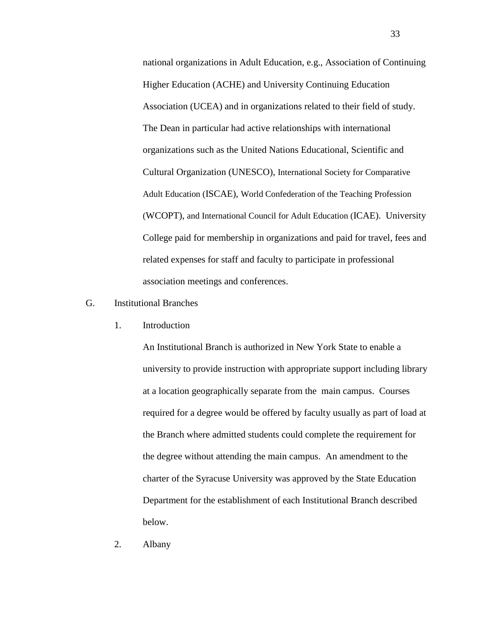national organizations in Adult Education, e.g., Association of Continuing Higher Education (ACHE) and University Continuing Education Association (UCEA) and in organizations related to their field of study. The Dean in particular had active relationships with international organizations such as the United Nations Educational, Scientific and Cultural Organization (UNESCO), International Society for Comparative Adult Education (ISCAE), World Confederation of the Teaching Profession (WCOPT), and International Council for Adult Education (ICAE). University College paid for membership in organizations and paid for travel, fees and related expenses for staff and faculty to participate in professional association meetings and conferences.

## G. Institutional Branches

1. Introduction

An Institutional Branch is authorized in New York State to enable a university to provide instruction with appropriate support including library at a location geographically separate from the main campus. Courses required for a degree would be offered by faculty usually as part of load at the Branch where admitted students could complete the requirement for the degree without attending the main campus. An amendment to the charter of the Syracuse University was approved by the State Education Department for the establishment of each Institutional Branch described below.

2. Albany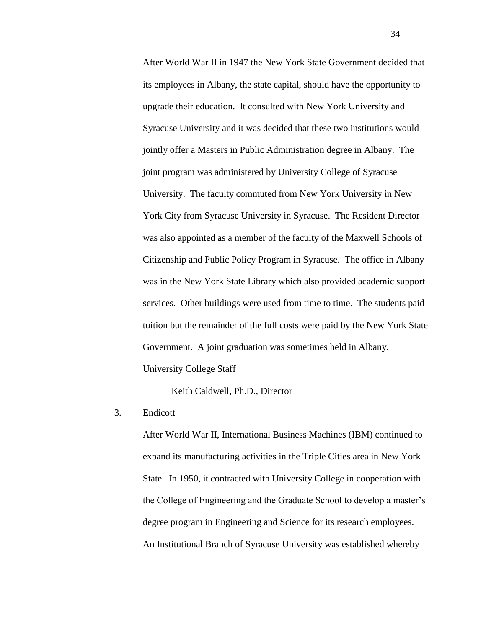After World War II in 1947 the New York State Government decided that its employees in Albany, the state capital, should have the opportunity to upgrade their education. It consulted with New York University and Syracuse University and it was decided that these two institutions would jointly offer a Masters in Public Administration degree in Albany. The joint program was administered by University College of Syracuse University. The faculty commuted from New York University in New York City from Syracuse University in Syracuse. The Resident Director was also appointed as a member of the faculty of the Maxwell Schools of Citizenship and Public Policy Program in Syracuse. The office in Albany was in the New York State Library which also provided academic support services. Other buildings were used from time to time. The students paid tuition but the remainder of the full costs were paid by the New York State Government. A joint graduation was sometimes held in Albany.

University College Staff

Keith Caldwell, Ph.D., Director

3. Endicott

After World War II, International Business Machines (IBM) continued to expand its manufacturing activities in the Triple Cities area in New York State. In 1950, it contracted with University College in cooperation with the College of Engineering and the Graduate School to develop a master's degree program in Engineering and Science for its research employees. An Institutional Branch of Syracuse University was established whereby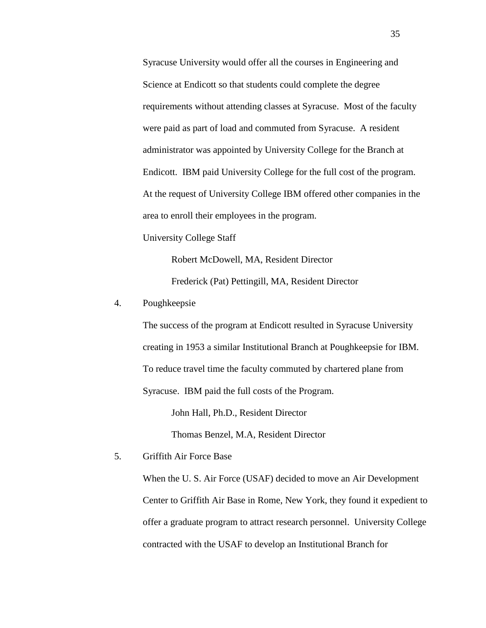Syracuse University would offer all the courses in Engineering and Science at Endicott so that students could complete the degree requirements without attending classes at Syracuse. Most of the faculty were paid as part of load and commuted from Syracuse. A resident administrator was appointed by University College for the Branch at Endicott. IBM paid University College for the full cost of the program. At the request of University College IBM offered other companies in the area to enroll their employees in the program.

University College Staff

Robert McDowell, MA, Resident Director Frederick (Pat) Pettingill, MA, Resident Director

## 4. Poughkeepsie

The success of the program at Endicott resulted in Syracuse University creating in 1953 a similar Institutional Branch at Poughkeepsie for IBM. To reduce travel time the faculty commuted by chartered plane from Syracuse. IBM paid the full costs of the Program.

John Hall, Ph.D., Resident Director

Thomas Benzel, M.A, Resident Director

5. Griffith Air Force Base

When the U. S. Air Force (USAF) decided to move an Air Development Center to Griffith Air Base in Rome, New York, they found it expedient to offer a graduate program to attract research personnel. University College contracted with the USAF to develop an Institutional Branch for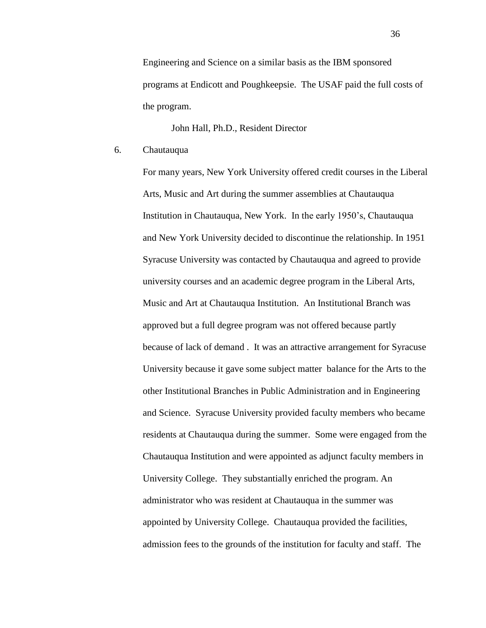Engineering and Science on a similar basis as the IBM sponsored programs at Endicott and Poughkeepsie. The USAF paid the full costs of the program.

John Hall, Ph.D., Resident Director

6. Chautauqua

For many years, New York University offered credit courses in the Liberal Arts, Music and Art during the summer assemblies at Chautauqua Institution in Chautauqua, New York. In the early 1950's, Chautauqua and New York University decided to discontinue the relationship. In 1951 Syracuse University was contacted by Chautauqua and agreed to provide university courses and an academic degree program in the Liberal Arts, Music and Art at Chautauqua Institution. An Institutional Branch was approved but a full degree program was not offered because partly because of lack of demand . It was an attractive arrangement for Syracuse University because it gave some subject matter balance for the Arts to the other Institutional Branches in Public Administration and in Engineering and Science. Syracuse University provided faculty members who became residents at Chautauqua during the summer. Some were engaged from the Chautauqua Institution and were appointed as adjunct faculty members in University College. They substantially enriched the program. An administrator who was resident at Chautauqua in the summer was appointed by University College. Chautauqua provided the facilities, admission fees to the grounds of the institution for faculty and staff. The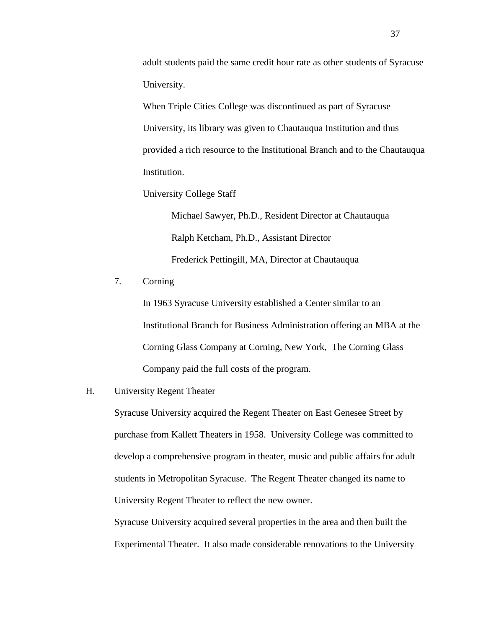adult students paid the same credit hour rate as other students of Syracuse University.

When Triple Cities College was discontinued as part of Syracuse University, its library was given to Chautauqua Institution and thus provided a rich resource to the Institutional Branch and to the Chautauqua Institution.

University College Staff

Michael Sawyer, Ph.D., Resident Director at Chautauqua Ralph Ketcham, Ph.D., Assistant Director Frederick Pettingill, MA, Director at Chautauqua

7. Corning

In 1963 Syracuse University established a Center similar to an Institutional Branch for Business Administration offering an MBA at the Corning Glass Company at Corning, New York, The Corning Glass Company paid the full costs of the program.

## H. University Regent Theater

Syracuse University acquired the Regent Theater on East Genesee Street by purchase from Kallett Theaters in 1958. University College was committed to develop a comprehensive program in theater, music and public affairs for adult students in Metropolitan Syracuse. The Regent Theater changed its name to University Regent Theater to reflect the new owner.

Syracuse University acquired several properties in the area and then built the Experimental Theater. It also made considerable renovations to the University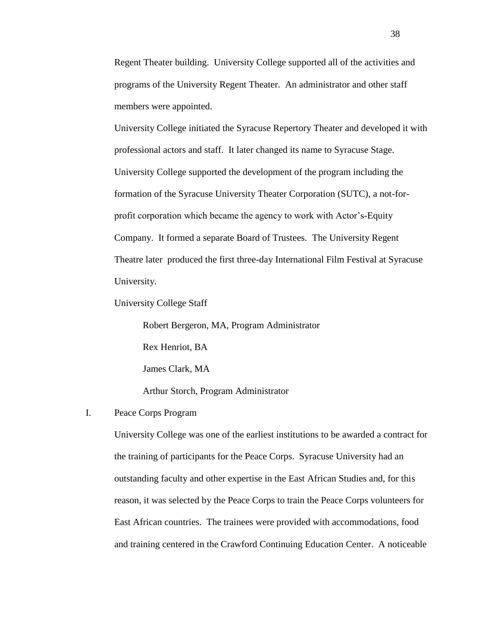Regent Theater building. University College supported all of the activities and programs of the University Regent Theater. An administrator and other staff members were appointed.

University College initiated the Syracuse Repertory Theater and developed it with professional actors and staff. It later changed its name to Syracuse Stage. University College supported the development of the program including the formation of the Syracuse University Theater Corporation (SUTC), a not-forprofit corporation which became the agency to work with Actor's-Equity Company. It formed a separate Board of Trustees. The University Regent Theatre later produced the first three-day International Film Festival at Syracuse University.

University College Staff

Robert Bergeron, MA, Program Administrator Rex Henriot, BA James Clark, MA Arthur Storch, Program Administrator

# I. Peace Corps Program

University College was one of the earliest institutions to be awarded a contract for the training of participants for the Peace Corps. Syracuse University had an outstanding faculty and other expertise in the East African Studies and, for this reason, it was selected by the Peace Corps to train the Peace Corps volunteers for East African countries. The trainees were provided with accommodations, food and training centered in the Crawford Continuing Education Center. A noticeable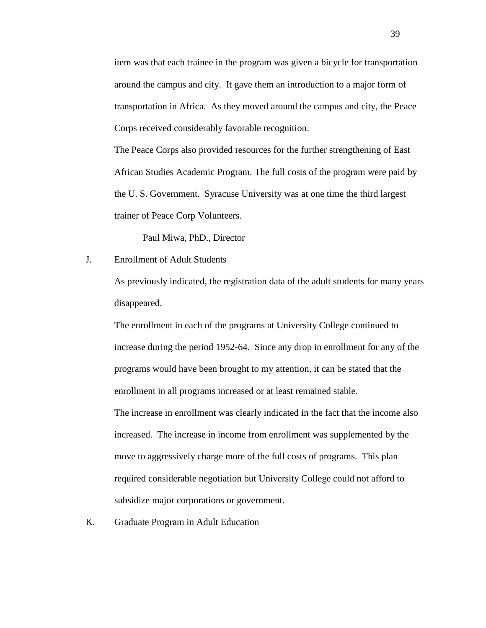item was that each trainee in the program was given a bicycle for transportation around the campus and city. It gave them an introduction to a major form of transportation in Africa. As they moved around the campus and city, the Peace Corps received considerably favorable recognition.

The Peace Corps also provided resources for the further strengthening of East African Studies Academic Program. The full costs of the program were paid by the U. S. Government. Syracuse University was at one time the third largest trainer of Peace Corp Volunteers.

Paul Miwa, PhD., Director

J. Enrollment of Adult Students

As previously indicated, the registration data of the adult students for many years disappeared.

The enrollment in each of the programs at University College continued to increase during the period 1952-64. Since any drop in enrollment for any of the programs would have been brought to my attention, it can be stated that the enrollment in all programs increased or at least remained stable.

The increase in enrollment was clearly indicated in the fact that the income also increased. The increase in income from enrollment was supplemented by the move to aggressively charge more of the full costs of programs. This plan required considerable negotiation but University College could not afford to subsidize major corporations or government.

K. Graduate Program in Adult Education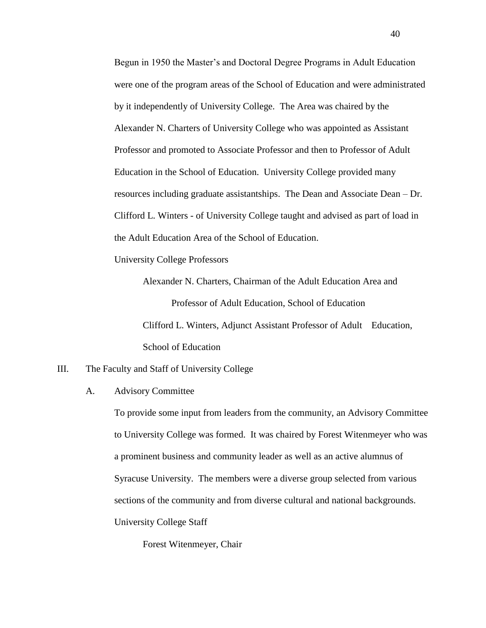Begun in 1950 the Master's and Doctoral Degree Programs in Adult Education were one of the program areas of the School of Education and were administrated by it independently of University College. The Area was chaired by the Alexander N. Charters of University College who was appointed as Assistant Professor and promoted to Associate Professor and then to Professor of Adult Education in the School of Education. University College provided many resources including graduate assistantships. The Dean and Associate Dean – Dr. Clifford L. Winters - of University College taught and advised as part of load in the Adult Education Area of the School of Education.

University College Professors

Alexander N. Charters, Chairman of the Adult Education Area and Professor of Adult Education, School of Education Clifford L. Winters, Adjunct Assistant Professor of Adult Education, School of Education

## III. The Faculty and Staff of University College

A. Advisory Committee

To provide some input from leaders from the community, an Advisory Committee to University College was formed. It was chaired by Forest Witenmeyer who was a prominent business and community leader as well as an active alumnus of Syracuse University. The members were a diverse group selected from various sections of the community and from diverse cultural and national backgrounds. University College Staff

Forest Witenmeyer, Chair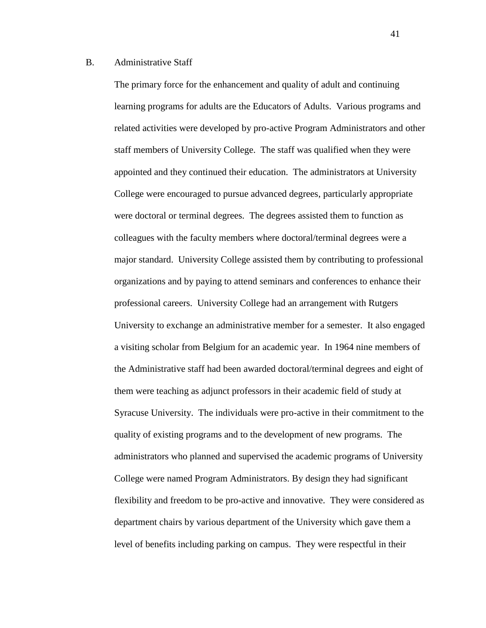## B. Administrative Staff

The primary force for the enhancement and quality of adult and continuing learning programs for adults are the Educators of Adults. Various programs and related activities were developed by pro-active Program Administrators and other staff members of University College. The staff was qualified when they were appointed and they continued their education. The administrators at University College were encouraged to pursue advanced degrees, particularly appropriate were doctoral or terminal degrees. The degrees assisted them to function as colleagues with the faculty members where doctoral/terminal degrees were a major standard. University College assisted them by contributing to professional organizations and by paying to attend seminars and conferences to enhance their professional careers. University College had an arrangement with Rutgers University to exchange an administrative member for a semester. It also engaged a visiting scholar from Belgium for an academic year. In 1964 nine members of the Administrative staff had been awarded doctoral/terminal degrees and eight of them were teaching as adjunct professors in their academic field of study at Syracuse University. The individuals were pro-active in their commitment to the quality of existing programs and to the development of new programs. The administrators who planned and supervised the academic programs of University College were named Program Administrators. By design they had significant flexibility and freedom to be pro-active and innovative. They were considered as department chairs by various department of the University which gave them a level of benefits including parking on campus. They were respectful in their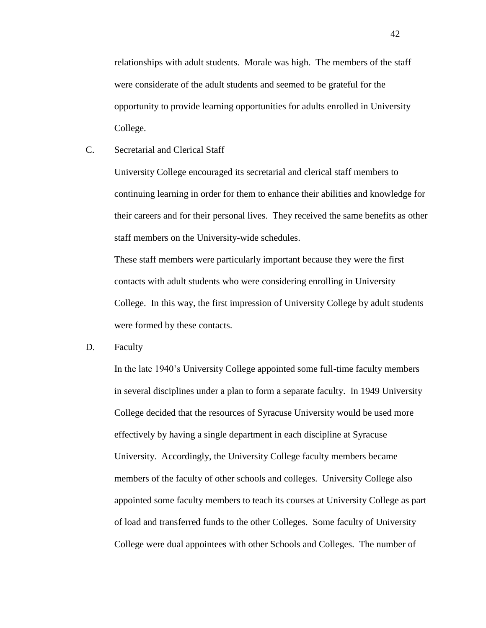relationships with adult students. Morale was high. The members of the staff were considerate of the adult students and seemed to be grateful for the opportunity to provide learning opportunities for adults enrolled in University College.

C. Secretarial and Clerical Staff

University College encouraged its secretarial and clerical staff members to continuing learning in order for them to enhance their abilities and knowledge for their careers and for their personal lives. They received the same benefits as other staff members on the University-wide schedules.

These staff members were particularly important because they were the first contacts with adult students who were considering enrolling in University College. In this way, the first impression of University College by adult students were formed by these contacts.

D. Faculty

In the late 1940's University College appointed some full-time faculty members in several disciplines under a plan to form a separate faculty. In 1949 University College decided that the resources of Syracuse University would be used more effectively by having a single department in each discipline at Syracuse University. Accordingly, the University College faculty members became members of the faculty of other schools and colleges. University College also appointed some faculty members to teach its courses at University College as part of load and transferred funds to the other Colleges. Some faculty of University College were dual appointees with other Schools and Colleges. The number of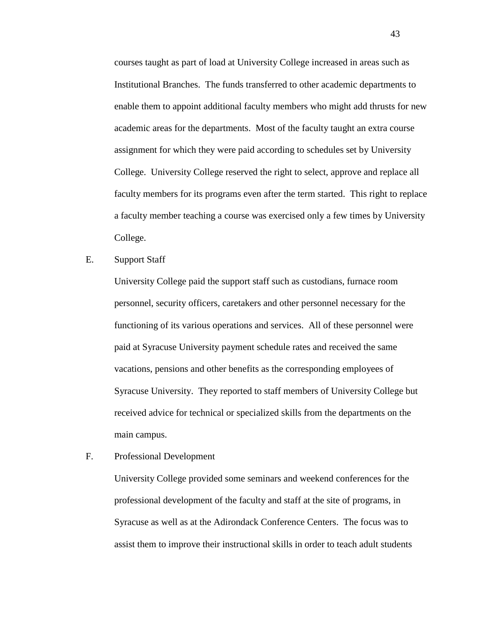courses taught as part of load at University College increased in areas such as Institutional Branches. The funds transferred to other academic departments to enable them to appoint additional faculty members who might add thrusts for new academic areas for the departments. Most of the faculty taught an extra course assignment for which they were paid according to schedules set by University College. University College reserved the right to select, approve and replace all faculty members for its programs even after the term started. This right to replace a faculty member teaching a course was exercised only a few times by University College.

E. Support Staff

University College paid the support staff such as custodians, furnace room personnel, security officers, caretakers and other personnel necessary for the functioning of its various operations and services. All of these personnel were paid at Syracuse University payment schedule rates and received the same vacations, pensions and other benefits as the corresponding employees of Syracuse University. They reported to staff members of University College but received advice for technical or specialized skills from the departments on the main campus.

F. Professional Development

University College provided some seminars and weekend conferences for the professional development of the faculty and staff at the site of programs, in Syracuse as well as at the Adirondack Conference Centers. The focus was to assist them to improve their instructional skills in order to teach adult students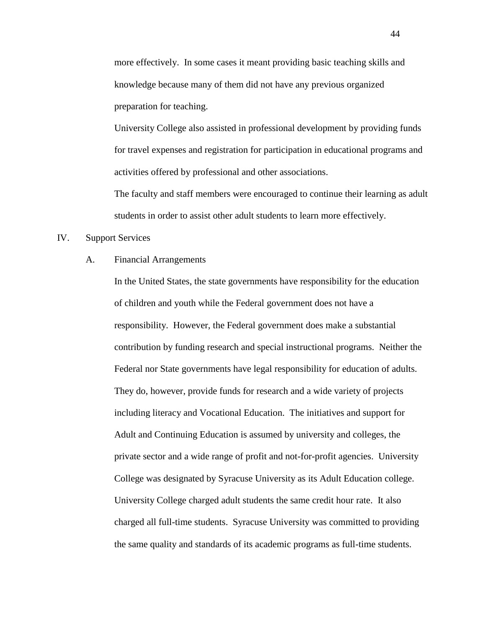more effectively. In some cases it meant providing basic teaching skills and knowledge because many of them did not have any previous organized preparation for teaching.

University College also assisted in professional development by providing funds for travel expenses and registration for participation in educational programs and activities offered by professional and other associations.

The faculty and staff members were encouraged to continue their learning as adult students in order to assist other adult students to learn more effectively.

## IV. Support Services

#### A. Financial Arrangements

In the United States, the state governments have responsibility for the education of children and youth while the Federal government does not have a responsibility. However, the Federal government does make a substantial contribution by funding research and special instructional programs. Neither the Federal nor State governments have legal responsibility for education of adults. They do, however, provide funds for research and a wide variety of projects including literacy and Vocational Education. The initiatives and support for Adult and Continuing Education is assumed by university and colleges, the private sector and a wide range of profit and not-for-profit agencies. University College was designated by Syracuse University as its Adult Education college. University College charged adult students the same credit hour rate. It also charged all full-time students. Syracuse University was committed to providing the same quality and standards of its academic programs as full-time students.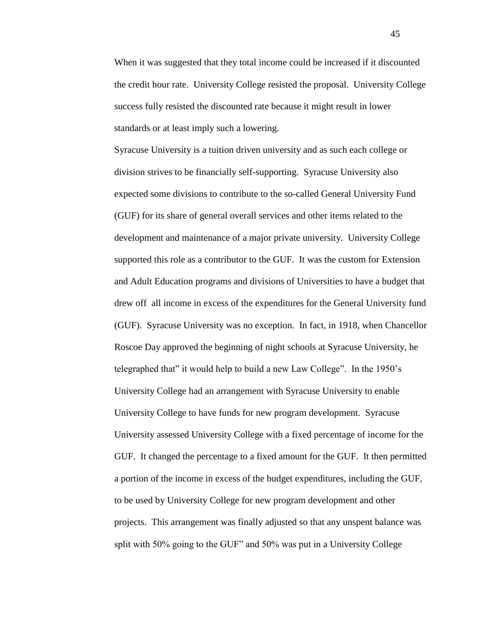When it was suggested that they total income could be increased if it discounted the credit hour rate. University College resisted the proposal. University College success fully resisted the discounted rate because it might result in lower standards or at least imply such a lowering.

Syracuse University is a tuition driven university and as such each college or division strives to be financially self-supporting. Syracuse University also expected some divisions to contribute to the so-called General University Fund (GUF) for its share of general overall services and other items related to the development and maintenance of a major private university. University College supported this role as a contributor to the GUF. It was the custom for Extension and Adult Education programs and divisions of Universities to have a budget that drew off all income in excess of the expenditures for the General University fund (GUF). Syracuse University was no exception. In fact, in 1918, when Chancellor Roscoe Day approved the beginning of night schools at Syracuse University, he telegraphed that" it would help to build a new Law College". In the 1950's University College had an arrangement with Syracuse University to enable University College to have funds for new program development. Syracuse University assessed University College with a fixed percentage of income for the GUF. It changed the percentage to a fixed amount for the GUF. It then permitted a portion of the income in excess of the budget expenditures, including the GUF, to be used by University College for new program development and other projects. This arrangement was finally adjusted so that any unspent balance was split with 50% going to the GUF" and 50% was put in a University College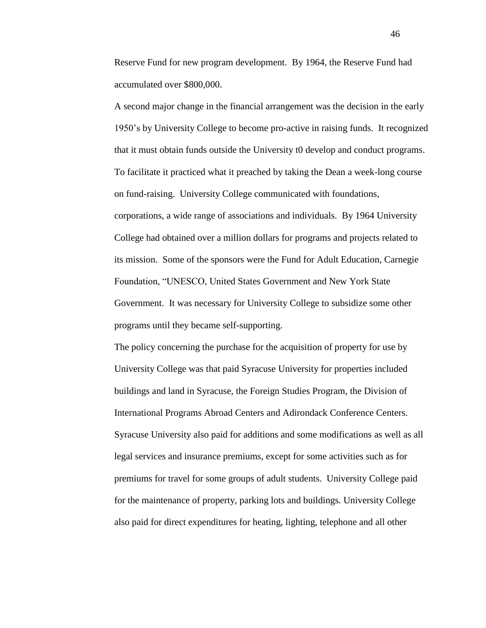Reserve Fund for new program development. By 1964, the Reserve Fund had accumulated over \$800,000.

A second major change in the financial arrangement was the decision in the early 1950's by University College to become pro-active in raising funds. It recognized that it must obtain funds outside the University t0 develop and conduct programs. To facilitate it practiced what it preached by taking the Dean a week-long course on fund-raising. University College communicated with foundations, corporations, a wide range of associations and individuals. By 1964 University College had obtained over a million dollars for programs and projects related to its mission. Some of the sponsors were the Fund for Adult Education, Carnegie Foundation, "UNESCO, United States Government and New York State Government. It was necessary for University College to subsidize some other programs until they became self-supporting.

The policy concerning the purchase for the acquisition of property for use by University College was that paid Syracuse University for properties included buildings and land in Syracuse, the Foreign Studies Program, the Division of International Programs Abroad Centers and Adirondack Conference Centers. Syracuse University also paid for additions and some modifications as well as all legal services and insurance premiums, except for some activities such as for premiums for travel for some groups of adult students. University College paid for the maintenance of property, parking lots and buildings. University College also paid for direct expenditures for heating, lighting, telephone and all other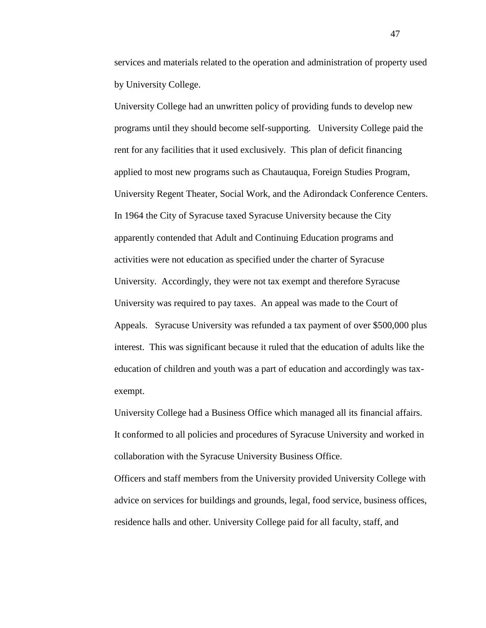services and materials related to the operation and administration of property used by University College.

University College had an unwritten policy of providing funds to develop new programs until they should become self-supporting. University College paid the rent for any facilities that it used exclusively. This plan of deficit financing applied to most new programs such as Chautauqua, Foreign Studies Program, University Regent Theater, Social Work, and the Adirondack Conference Centers. In 1964 the City of Syracuse taxed Syracuse University because the City apparently contended that Adult and Continuing Education programs and activities were not education as specified under the charter of Syracuse University. Accordingly, they were not tax exempt and therefore Syracuse University was required to pay taxes. An appeal was made to the Court of Appeals. Syracuse University was refunded a tax payment of over \$500,000 plus interest. This was significant because it ruled that the education of adults like the education of children and youth was a part of education and accordingly was taxexempt.

University College had a Business Office which managed all its financial affairs. It conformed to all policies and procedures of Syracuse University and worked in collaboration with the Syracuse University Business Office.

Officers and staff members from the University provided University College with advice on services for buildings and grounds, legal, food service, business offices, residence halls and other. University College paid for all faculty, staff, and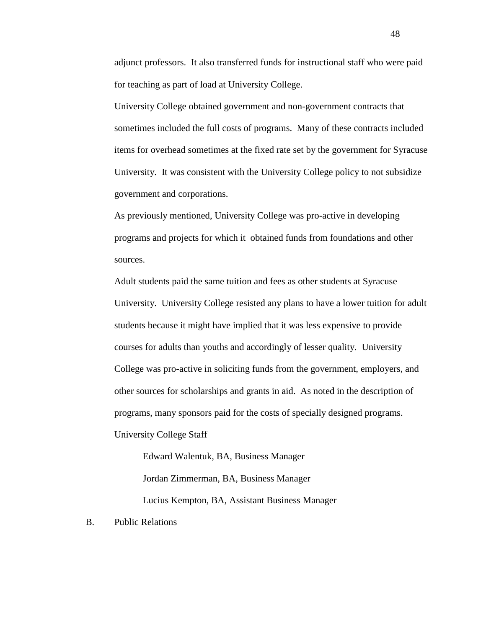adjunct professors. It also transferred funds for instructional staff who were paid for teaching as part of load at University College.

University College obtained government and non-government contracts that sometimes included the full costs of programs. Many of these contracts included items for overhead sometimes at the fixed rate set by the government for Syracuse University. It was consistent with the University College policy to not subsidize government and corporations.

As previously mentioned, University College was pro-active in developing programs and projects for which it obtained funds from foundations and other sources.

Adult students paid the same tuition and fees as other students at Syracuse University. University College resisted any plans to have a lower tuition for adult students because it might have implied that it was less expensive to provide courses for adults than youths and accordingly of lesser quality. University College was pro-active in soliciting funds from the government, employers, and other sources for scholarships and grants in aid. As noted in the description of programs, many sponsors paid for the costs of specially designed programs. University College Staff

Edward Walentuk, BA, Business Manager Jordan Zimmerman, BA, Business Manager Lucius Kempton, BA, Assistant Business Manager

B. Public Relations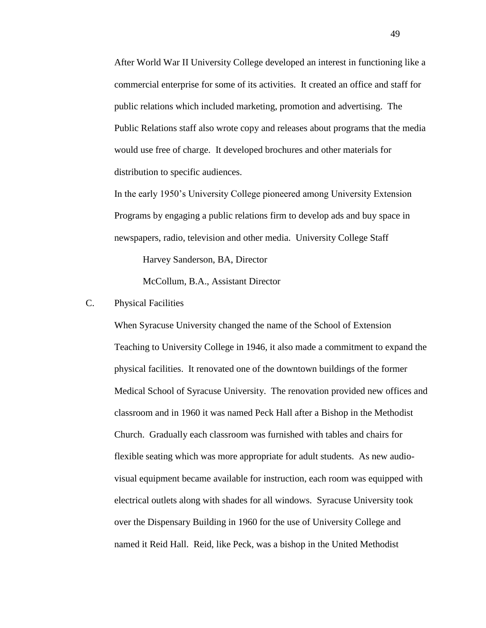After World War II University College developed an interest in functioning like a commercial enterprise for some of its activities. It created an office and staff for public relations which included marketing, promotion and advertising. The Public Relations staff also wrote copy and releases about programs that the media would use free of charge. It developed brochures and other materials for distribution to specific audiences.

In the early 1950's University College pioneered among University Extension Programs by engaging a public relations firm to develop ads and buy space in newspapers, radio, television and other media. University College Staff

Harvey Sanderson, BA, Director

McCollum, B.A., Assistant Director

## C. Physical Facilities

When Syracuse University changed the name of the School of Extension Teaching to University College in 1946, it also made a commitment to expand the physical facilities. It renovated one of the downtown buildings of the former Medical School of Syracuse University. The renovation provided new offices and classroom and in 1960 it was named Peck Hall after a Bishop in the Methodist Church. Gradually each classroom was furnished with tables and chairs for flexible seating which was more appropriate for adult students. As new audiovisual equipment became available for instruction, each room was equipped with electrical outlets along with shades for all windows. Syracuse University took over the Dispensary Building in 1960 for the use of University College and named it Reid Hall. Reid, like Peck, was a bishop in the United Methodist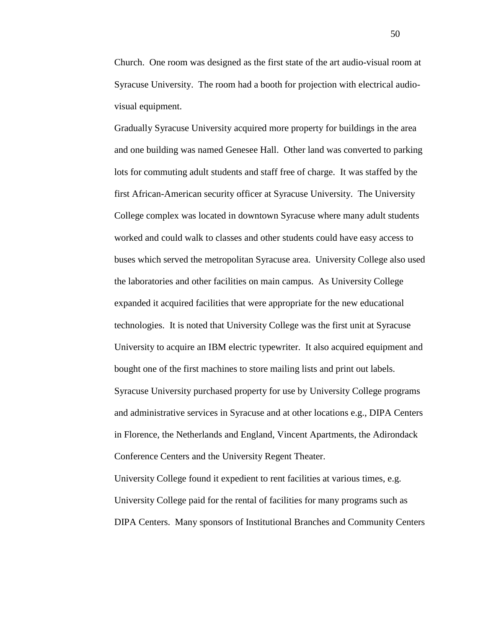Church. One room was designed as the first state of the art audio-visual room at Syracuse University. The room had a booth for projection with electrical audiovisual equipment.

Gradually Syracuse University acquired more property for buildings in the area and one building was named Genesee Hall. Other land was converted to parking lots for commuting adult students and staff free of charge. It was staffed by the first African-American security officer at Syracuse University. The University College complex was located in downtown Syracuse where many adult students worked and could walk to classes and other students could have easy access to buses which served the metropolitan Syracuse area. University College also used the laboratories and other facilities on main campus. As University College expanded it acquired facilities that were appropriate for the new educational technologies. It is noted that University College was the first unit at Syracuse University to acquire an IBM electric typewriter. It also acquired equipment and bought one of the first machines to store mailing lists and print out labels. Syracuse University purchased property for use by University College programs and administrative services in Syracuse and at other locations e.g., DIPA Centers in Florence, the Netherlands and England, Vincent Apartments, the Adirondack Conference Centers and the University Regent Theater.

University College found it expedient to rent facilities at various times, e.g. University College paid for the rental of facilities for many programs such as DIPA Centers. Many sponsors of Institutional Branches and Community Centers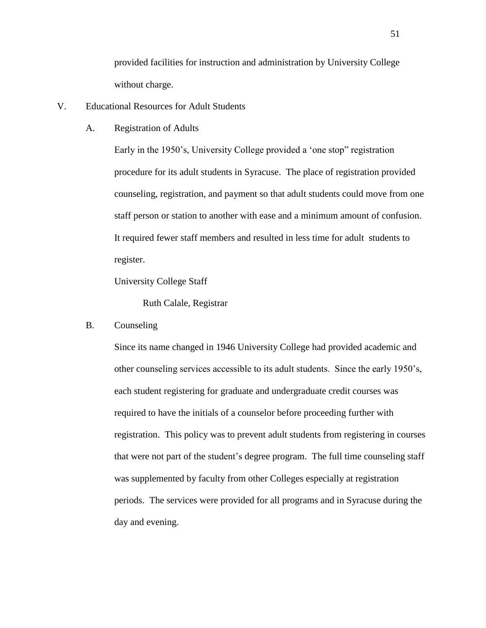provided facilities for instruction and administration by University College without charge.

- V. Educational Resources for Adult Students
	- A. Registration of Adults

Early in the 1950's, University College provided a 'one stop" registration procedure for its adult students in Syracuse. The place of registration provided counseling, registration, and payment so that adult students could move from one staff person or station to another with ease and a minimum amount of confusion. It required fewer staff members and resulted in less time for adult students to register.

University College Staff

Ruth Calale, Registrar

B. Counseling

Since its name changed in 1946 University College had provided academic and other counseling services accessible to its adult students. Since the early 1950's, each student registering for graduate and undergraduate credit courses was required to have the initials of a counselor before proceeding further with registration. This policy was to prevent adult students from registering in courses that were not part of the student's degree program. The full time counseling staff was supplemented by faculty from other Colleges especially at registration periods. The services were provided for all programs and in Syracuse during the day and evening.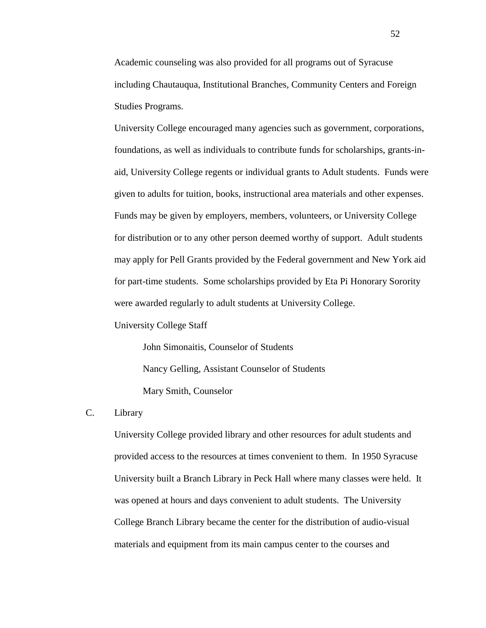Academic counseling was also provided for all programs out of Syracuse including Chautauqua, Institutional Branches, Community Centers and Foreign Studies Programs.

University College encouraged many agencies such as government, corporations, foundations, as well as individuals to contribute funds for scholarships, grants-inaid, University College regents or individual grants to Adult students. Funds were given to adults for tuition, books, instructional area materials and other expenses. Funds may be given by employers, members, volunteers, or University College for distribution or to any other person deemed worthy of support. Adult students may apply for Pell Grants provided by the Federal government and New York aid for part-time students. Some scholarships provided by Eta Pi Honorary Sorority were awarded regularly to adult students at University College.

University College Staff

John Simonaitis, Counselor of Students Nancy Gelling, Assistant Counselor of Students Mary Smith, Counselor

C. Library

University College provided library and other resources for adult students and provided access to the resources at times convenient to them. In 1950 Syracuse University built a Branch Library in Peck Hall where many classes were held. It was opened at hours and days convenient to adult students. The University College Branch Library became the center for the distribution of audio-visual materials and equipment from its main campus center to the courses and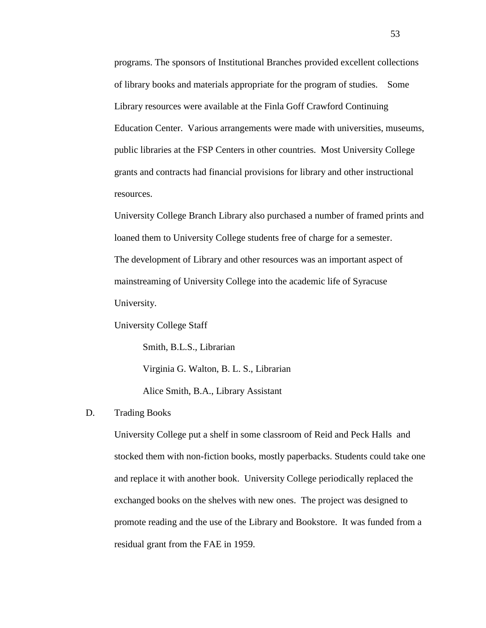programs. The sponsors of Institutional Branches provided excellent collections of library books and materials appropriate for the program of studies. Some Library resources were available at the Finla Goff Crawford Continuing Education Center. Various arrangements were made with universities, museums, public libraries at the FSP Centers in other countries. Most University College grants and contracts had financial provisions for library and other instructional resources.

University College Branch Library also purchased a number of framed prints and loaned them to University College students free of charge for a semester. The development of Library and other resources was an important aspect of mainstreaming of University College into the academic life of Syracuse University.

University College Staff

Smith, B.L.S., Librarian Virginia G. Walton, B. L. S., Librarian Alice Smith, B.A., Library Assistant

#### D. Trading Books

University College put a shelf in some classroom of Reid and Peck Halls and stocked them with non-fiction books, mostly paperbacks. Students could take one and replace it with another book. University College periodically replaced the exchanged books on the shelves with new ones. The project was designed to promote reading and the use of the Library and Bookstore. It was funded from a residual grant from the FAE in 1959.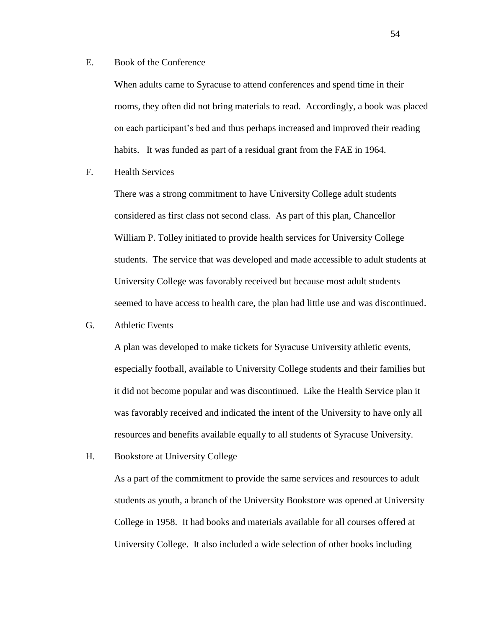E. Book of the Conference

When adults came to Syracuse to attend conferences and spend time in their rooms, they often did not bring materials to read. Accordingly, a book was placed on each participant's bed and thus perhaps increased and improved their reading habits. It was funded as part of a residual grant from the FAE in 1964.

F. Health Services

There was a strong commitment to have University College adult students considered as first class not second class. As part of this plan, Chancellor William P. Tolley initiated to provide health services for University College students. The service that was developed and made accessible to adult students at University College was favorably received but because most adult students seemed to have access to health care, the plan had little use and was discontinued.

G. Athletic Events

A plan was developed to make tickets for Syracuse University athletic events, especially football, available to University College students and their families but it did not become popular and was discontinued. Like the Health Service plan it was favorably received and indicated the intent of the University to have only all resources and benefits available equally to all students of Syracuse University.

H. Bookstore at University College

As a part of the commitment to provide the same services and resources to adult students as youth, a branch of the University Bookstore was opened at University College in 1958. It had books and materials available for all courses offered at University College. It also included a wide selection of other books including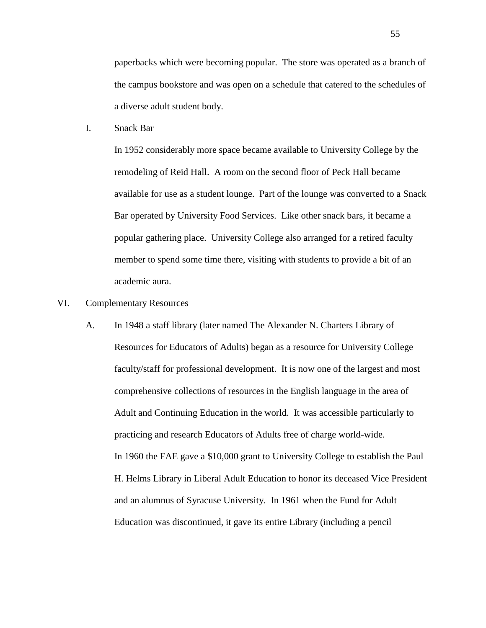paperbacks which were becoming popular. The store was operated as a branch of the campus bookstore and was open on a schedule that catered to the schedules of a diverse adult student body.

I. Snack Bar

In 1952 considerably more space became available to University College by the remodeling of Reid Hall. A room on the second floor of Peck Hall became available for use as a student lounge. Part of the lounge was converted to a Snack Bar operated by University Food Services. Like other snack bars, it became a popular gathering place. University College also arranged for a retired faculty member to spend some time there, visiting with students to provide a bit of an academic aura.

- VI. Complementary Resources
	- A. In 1948 a staff library (later named The Alexander N. Charters Library of Resources for Educators of Adults) began as a resource for University College faculty/staff for professional development. It is now one of the largest and most comprehensive collections of resources in the English language in the area of Adult and Continuing Education in the world. It was accessible particularly to practicing and research Educators of Adults free of charge world-wide. In 1960 the FAE gave a \$10,000 grant to University College to establish the Paul H. Helms Library in Liberal Adult Education to honor its deceased Vice President and an alumnus of Syracuse University. In 1961 when the Fund for Adult Education was discontinued, it gave its entire Library (including a pencil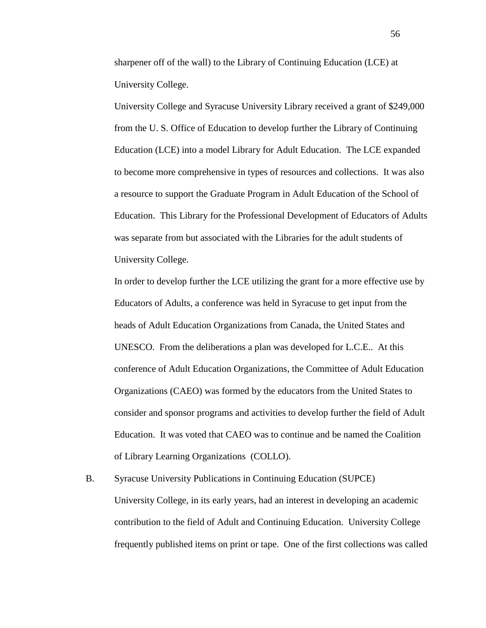sharpener off of the wall) to the Library of Continuing Education (LCE) at University College.

University College and Syracuse University Library received a grant of \$249,000 from the U. S. Office of Education to develop further the Library of Continuing Education (LCE) into a model Library for Adult Education. The LCE expanded to become more comprehensive in types of resources and collections. It was also a resource to support the Graduate Program in Adult Education of the School of Education. This Library for the Professional Development of Educators of Adults was separate from but associated with the Libraries for the adult students of University College.

In order to develop further the LCE utilizing the grant for a more effective use by Educators of Adults, a conference was held in Syracuse to get input from the heads of Adult Education Organizations from Canada, the United States and UNESCO. From the deliberations a plan was developed for L.C.E.. At this conference of Adult Education Organizations, the Committee of Adult Education Organizations (CAEO) was formed by the educators from the United States to consider and sponsor programs and activities to develop further the field of Adult Education. It was voted that CAEO was to continue and be named the Coalition of Library Learning Organizations (COLLO).

B. Syracuse University Publications in Continuing Education (SUPCE) University College, in its early years, had an interest in developing an academic contribution to the field of Adult and Continuing Education. University College frequently published items on print or tape. One of the first collections was called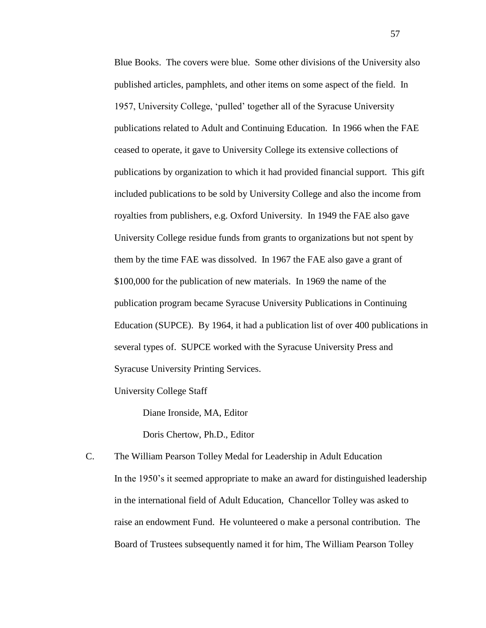Blue Books. The covers were blue. Some other divisions of the University also published articles, pamphlets, and other items on some aspect of the field. In 1957, University College, 'pulled' together all of the Syracuse University publications related to Adult and Continuing Education. In 1966 when the FAE ceased to operate, it gave to University College its extensive collections of publications by organization to which it had provided financial support. This gift included publications to be sold by University College and also the income from royalties from publishers, e.g. Oxford University. In 1949 the FAE also gave University College residue funds from grants to organizations but not spent by them by the time FAE was dissolved. In 1967 the FAE also gave a grant of \$100,000 for the publication of new materials. In 1969 the name of the publication program became Syracuse University Publications in Continuing Education (SUPCE). By 1964, it had a publication list of over 400 publications in several types of. SUPCE worked with the Syracuse University Press and Syracuse University Printing Services.

University College Staff

Diane Ironside, MA, Editor

Doris Chertow, Ph.D., Editor

C. The William Pearson Tolley Medal for Leadership in Adult Education In the 1950's it seemed appropriate to make an award for distinguished leadership in the international field of Adult Education, Chancellor Tolley was asked to raise an endowment Fund. He volunteered o make a personal contribution. The Board of Trustees subsequently named it for him, The William Pearson Tolley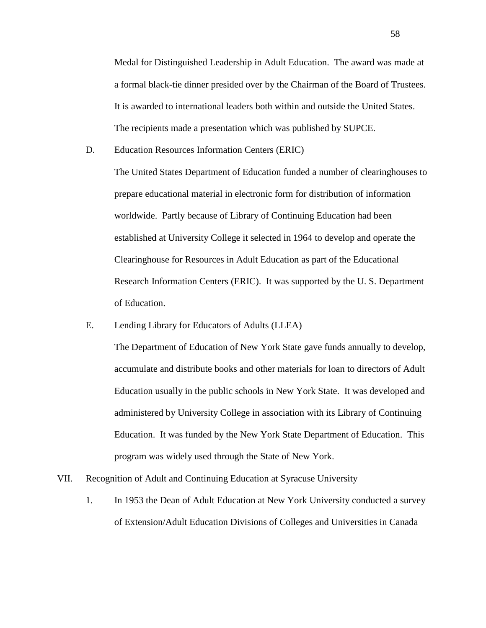Medal for Distinguished Leadership in Adult Education. The award was made at a formal black-tie dinner presided over by the Chairman of the Board of Trustees. It is awarded to international leaders both within and outside the United States. The recipients made a presentation which was published by SUPCE.

D. Education Resources Information Centers (ERIC)

The United States Department of Education funded a number of clearinghouses to prepare educational material in electronic form for distribution of information worldwide. Partly because of Library of Continuing Education had been established at University College it selected in 1964 to develop and operate the Clearinghouse for Resources in Adult Education as part of the Educational Research Information Centers (ERIC). It was supported by the U. S. Department of Education.

E. Lending Library for Educators of Adults (LLEA)

The Department of Education of New York State gave funds annually to develop, accumulate and distribute books and other materials for loan to directors of Adult Education usually in the public schools in New York State. It was developed and administered by University College in association with its Library of Continuing Education. It was funded by the New York State Department of Education. This program was widely used through the State of New York.

- VII. Recognition of Adult and Continuing Education at Syracuse University
	- 1. In 1953 the Dean of Adult Education at New York University conducted a survey of Extension/Adult Education Divisions of Colleges and Universities in Canada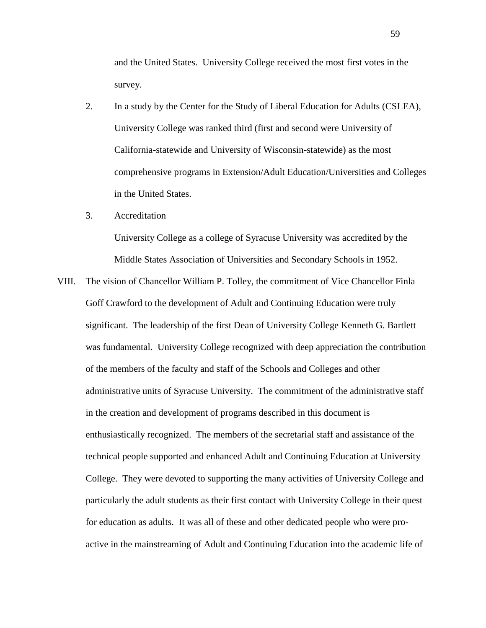and the United States. University College received the most first votes in the survey.

- 2. In a study by the Center for the Study of Liberal Education for Adults (CSLEA), University College was ranked third (first and second were University of California-statewide and University of Wisconsin-statewide) as the most comprehensive programs in Extension/Adult Education/Universities and Colleges in the United States.
- 3. Accreditation

University College as a college of Syracuse University was accredited by the Middle States Association of Universities and Secondary Schools in 1952.

VIII. The vision of Chancellor William P. Tolley, the commitment of Vice Chancellor Finla Goff Crawford to the development of Adult and Continuing Education were truly significant. The leadership of the first Dean of University College Kenneth G. Bartlett was fundamental. University College recognized with deep appreciation the contribution of the members of the faculty and staff of the Schools and Colleges and other administrative units of Syracuse University. The commitment of the administrative staff in the creation and development of programs described in this document is enthusiastically recognized. The members of the secretarial staff and assistance of the technical people supported and enhanced Adult and Continuing Education at University College. They were devoted to supporting the many activities of University College and particularly the adult students as their first contact with University College in their quest for education as adults. It was all of these and other dedicated people who were proactive in the mainstreaming of Adult and Continuing Education into the academic life of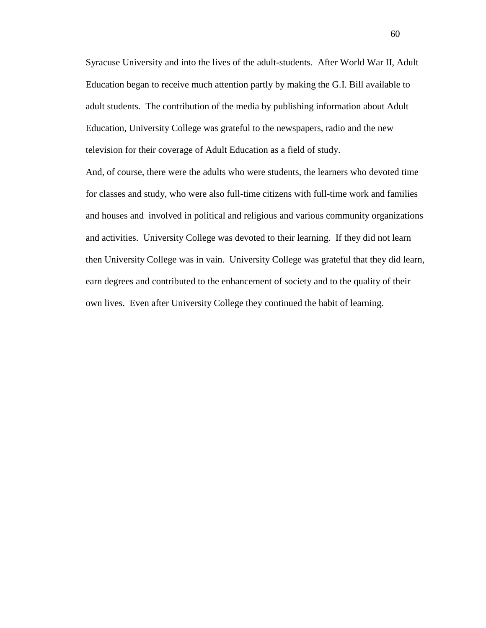Syracuse University and into the lives of the adult-students. After World War II, Adult Education began to receive much attention partly by making the G.I. Bill available to adult students. The contribution of the media by publishing information about Adult Education, University College was grateful to the newspapers, radio and the new television for their coverage of Adult Education as a field of study.

And, of course, there were the adults who were students, the learners who devoted time for classes and study, who were also full-time citizens with full-time work and families and houses and involved in political and religious and various community organizations and activities. University College was devoted to their learning. If they did not learn then University College was in vain. University College was grateful that they did learn, earn degrees and contributed to the enhancement of society and to the quality of their own lives. Even after University College they continued the habit of learning.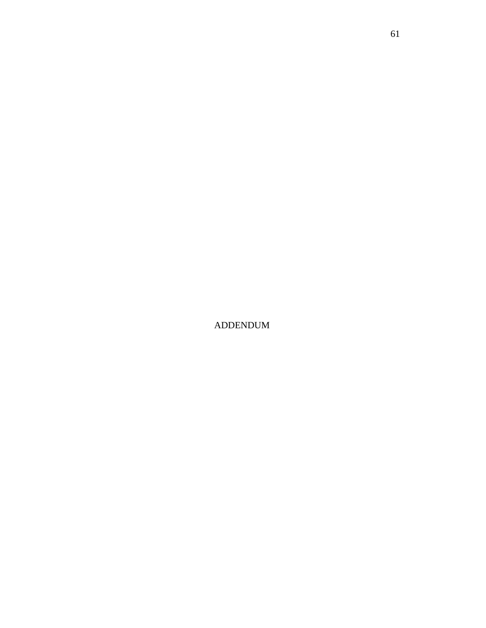ADDENDUM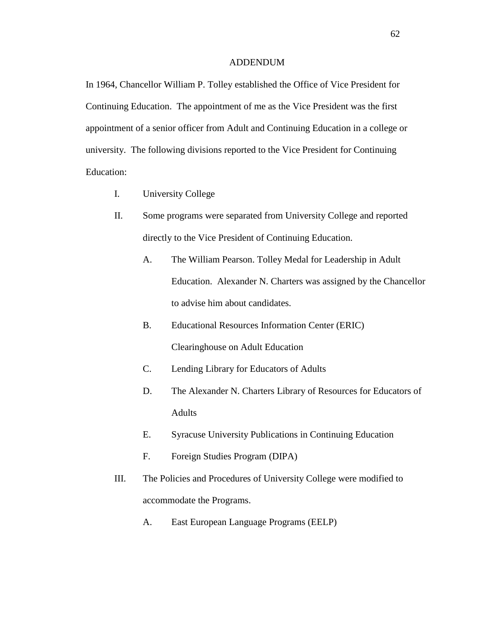#### ADDENDUM

In 1964, Chancellor William P. Tolley established the Office of Vice President for Continuing Education. The appointment of me as the Vice President was the first appointment of a senior officer from Adult and Continuing Education in a college or university. The following divisions reported to the Vice President for Continuing Education:

- I. University College
- II. Some programs were separated from University College and reported directly to the Vice President of Continuing Education.
	- A. The William Pearson. Tolley Medal for Leadership in Adult Education. Alexander N. Charters was assigned by the Chancellor to advise him about candidates.
	- B. Educational Resources Information Center (ERIC) Clearinghouse on Adult Education
	- C. Lending Library for Educators of Adults
	- D. The Alexander N. Charters Library of Resources for Educators of Adults
	- E. Syracuse University Publications in Continuing Education
	- F. Foreign Studies Program (DIPA)
- III. The Policies and Procedures of University College were modified to accommodate the Programs.
	- A. East European Language Programs (EELP)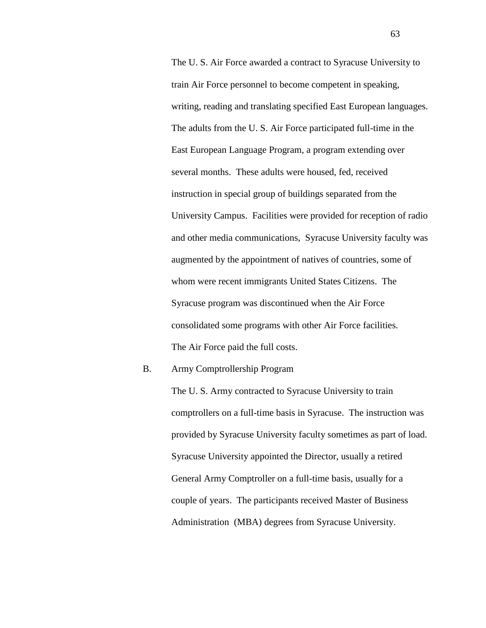The U. S. Air Force awarded a contract to Syracuse University to train Air Force personnel to become competent in speaking, writing, reading and translating specified East European languages. The adults from the U. S. Air Force participated full-time in the East European Language Program, a program extending over several months. These adults were housed, fed, received instruction in special group of buildings separated from the University Campus. Facilities were provided for reception of radio and other media communications, Syracuse University faculty was augmented by the appointment of natives of countries, some of whom were recent immigrants United States Citizens. The Syracuse program was discontinued when the Air Force consolidated some programs with other Air Force facilities. The Air Force paid the full costs.

#### B. Army Comptrollership Program

The U. S. Army contracted to Syracuse University to train comptrollers on a full-time basis in Syracuse. The instruction was provided by Syracuse University faculty sometimes as part of load. Syracuse University appointed the Director, usually a retired General Army Comptroller on a full-time basis, usually for a couple of years. The participants received Master of Business Administration (MBA) degrees from Syracuse University.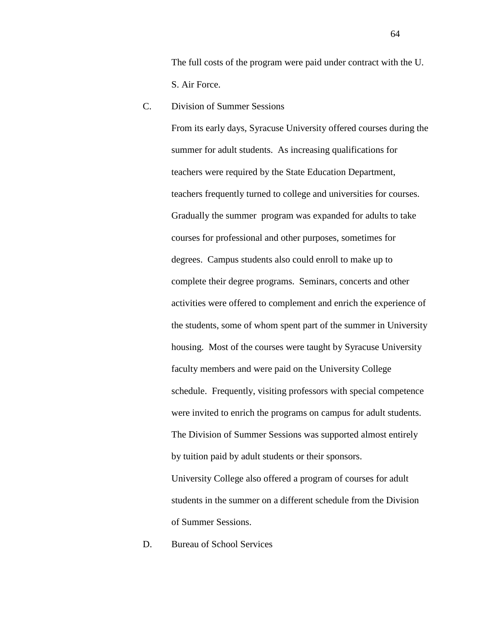The full costs of the program were paid under contract with the U. S. Air Force.

C. Division of Summer Sessions

From its early days, Syracuse University offered courses during the summer for adult students. As increasing qualifications for teachers were required by the State Education Department, teachers frequently turned to college and universities for courses. Gradually the summer program was expanded for adults to take courses for professional and other purposes, sometimes for degrees. Campus students also could enroll to make up to complete their degree programs. Seminars, concerts and other activities were offered to complement and enrich the experience of the students, some of whom spent part of the summer in University housing. Most of the courses were taught by Syracuse University faculty members and were paid on the University College schedule. Frequently, visiting professors with special competence were invited to enrich the programs on campus for adult students. The Division of Summer Sessions was supported almost entirely by tuition paid by adult students or their sponsors. University College also offered a program of courses for adult students in the summer on a different schedule from the Division of Summer Sessions.

D. Bureau of School Services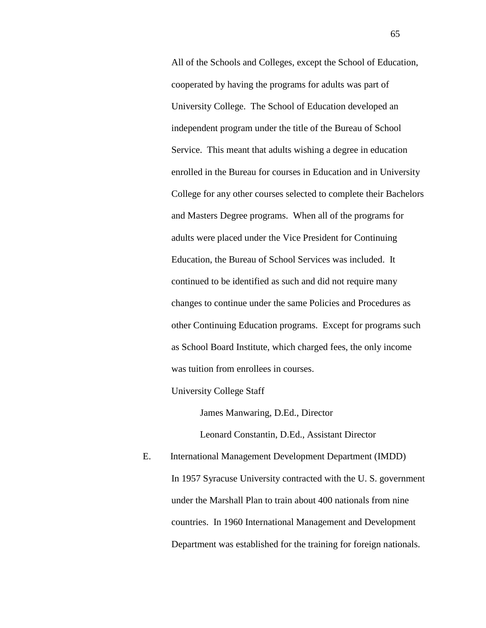All of the Schools and Colleges, except the School of Education, cooperated by having the programs for adults was part of University College. The School of Education developed an independent program under the title of the Bureau of School Service. This meant that adults wishing a degree in education enrolled in the Bureau for courses in Education and in University College for any other courses selected to complete their Bachelors and Masters Degree programs. When all of the programs for adults were placed under the Vice President for Continuing Education, the Bureau of School Services was included. It continued to be identified as such and did not require many changes to continue under the same Policies and Procedures as other Continuing Education programs. Except for programs such as School Board Institute, which charged fees, the only income was tuition from enrollees in courses.

University College Staff

James Manwaring, D.Ed., Director

Leonard Constantin, D.Ed., Assistant Director

E. International Management Development Department (IMDD) In 1957 Syracuse University contracted with the U. S. government under the Marshall Plan to train about 400 nationals from nine countries. In 1960 International Management and Development Department was established for the training for foreign nationals.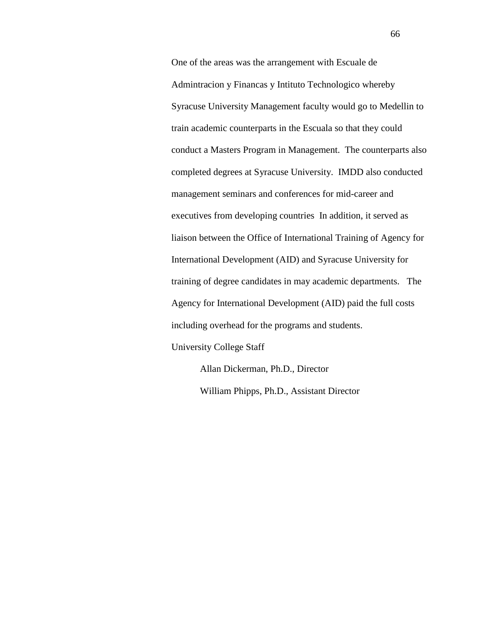One of the areas was the arrangement with Escuale de Admintracion y Financas y Intituto Technologico whereby Syracuse University Management faculty would go to Medellin to train academic counterparts in the Escuala so that they could conduct a Masters Program in Management. The counterparts also completed degrees at Syracuse University. IMDD also conducted management seminars and conferences for mid-career and executives from developing countries In addition, it served as liaison between the Office of International Training of Agency for International Development (AID) and Syracuse University for training of degree candidates in may academic departments. The Agency for International Development (AID) paid the full costs including overhead for the programs and students.

University College Staff

Allan Dickerman, Ph.D., Director William Phipps, Ph.D., Assistant Director